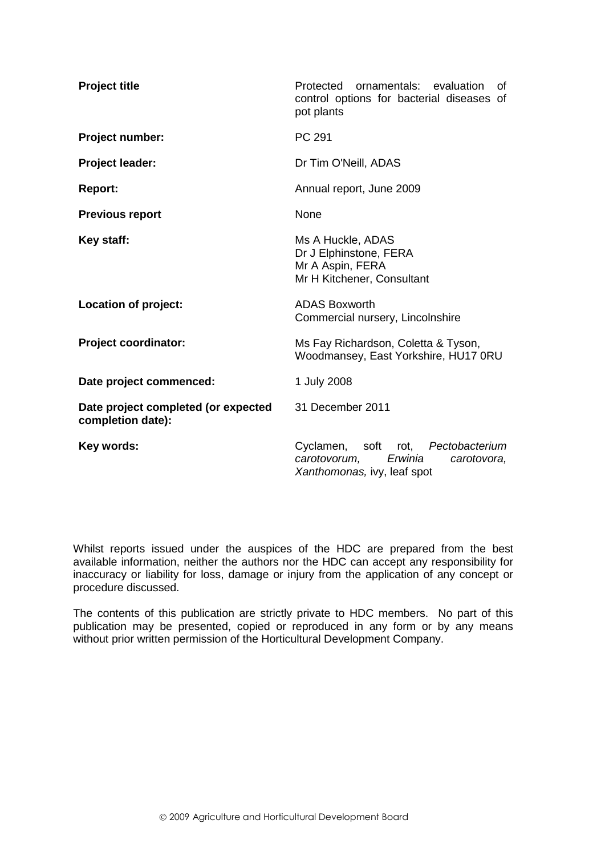| <b>Project title</b>                                     | Protected<br>ornamentals: evaluation<br>οf<br>control options for bacterial diseases of<br>pot plants          |  |  |  |
|----------------------------------------------------------|----------------------------------------------------------------------------------------------------------------|--|--|--|
| Project number:                                          | PC 291                                                                                                         |  |  |  |
| Project leader:                                          | Dr Tim O'Neill, ADAS                                                                                           |  |  |  |
| <b>Report:</b>                                           | Annual report, June 2009                                                                                       |  |  |  |
| <b>Previous report</b>                                   | None                                                                                                           |  |  |  |
| Key staff:                                               | Ms A Huckle, ADAS<br>Dr J Elphinstone, FERA<br>Mr A Aspin, FERA<br>Mr H Kitchener, Consultant                  |  |  |  |
| Location of project:                                     | <b>ADAS Boxworth</b><br>Commercial nursery, Lincolnshire                                                       |  |  |  |
| <b>Project coordinator:</b>                              | Ms Fay Richardson, Coletta & Tyson,<br>Woodmansey, East Yorkshire, HU17 0RU                                    |  |  |  |
| Date project commenced:                                  | 1 July 2008                                                                                                    |  |  |  |
| Date project completed (or expected<br>completion date): | 31 December 2011                                                                                               |  |  |  |
| Key words:                                               | soft rot, Pectobacterium<br>Cyclamen,<br>Erwinia<br>carotovorum,<br>carotovora,<br>Xanthomonas, ivy, leaf spot |  |  |  |

Whilst reports issued under the auspices of the HDC are prepared from the best available information, neither the authors nor the HDC can accept any responsibility for inaccuracy or liability for loss, damage or injury from the application of any concept or procedure discussed.

The contents of this publication are strictly private to HDC members. No part of this publication may be presented, copied or reproduced in any form or by any means without prior written permission of the Horticultural Development Company.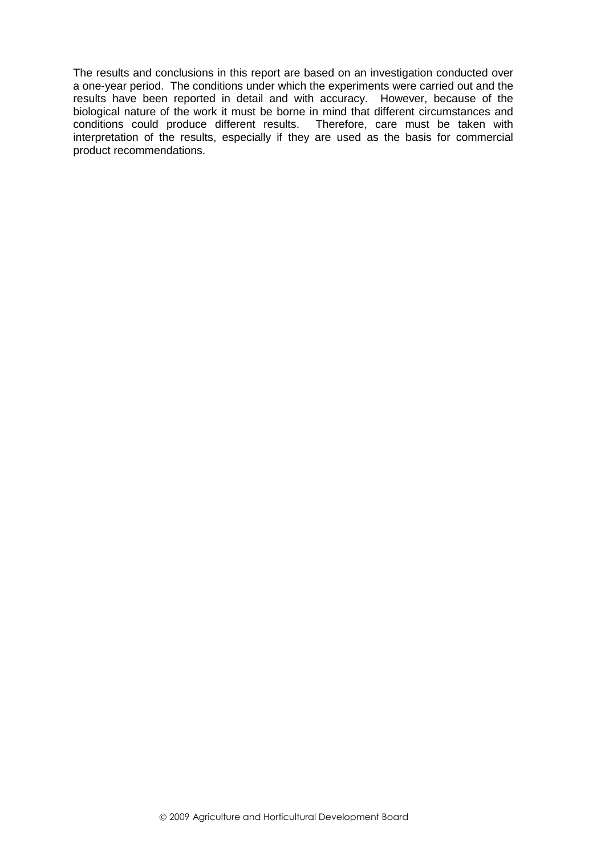The results and conclusions in this report are based on an investigation conducted over a one-year period. The conditions under which the experiments were carried out and the results have been reported in detail and with accuracy. However, because of the biological nature of the work it must be borne in mind that different circumstances and conditions could produce different results. Therefore, care must be taken with interpretation of the results, especially if they are used as the basis for commercial product recommendations.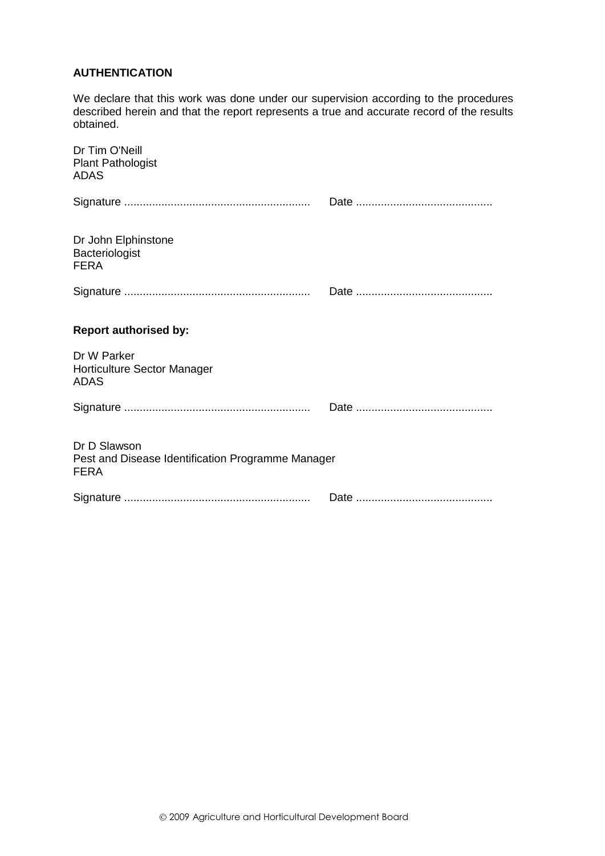# **AUTHENTICATION**

We declare that this work was done under our supervision according to the procedures described herein and that the report represents a true and accurate record of the results obtained.

| Dr Tim O'Neill<br><b>Plant Pathologist</b><br>ADAS                               |  |
|----------------------------------------------------------------------------------|--|
|                                                                                  |  |
| Dr John Elphinstone<br>Bacteriologist<br><b>FERA</b>                             |  |
|                                                                                  |  |
| <b>Report authorised by:</b>                                                     |  |
| Dr W Parker<br>Horticulture Sector Manager<br><b>ADAS</b>                        |  |
|                                                                                  |  |
| Dr D Slawson<br>Pest and Disease Identification Programme Manager<br><b>FERA</b> |  |
|                                                                                  |  |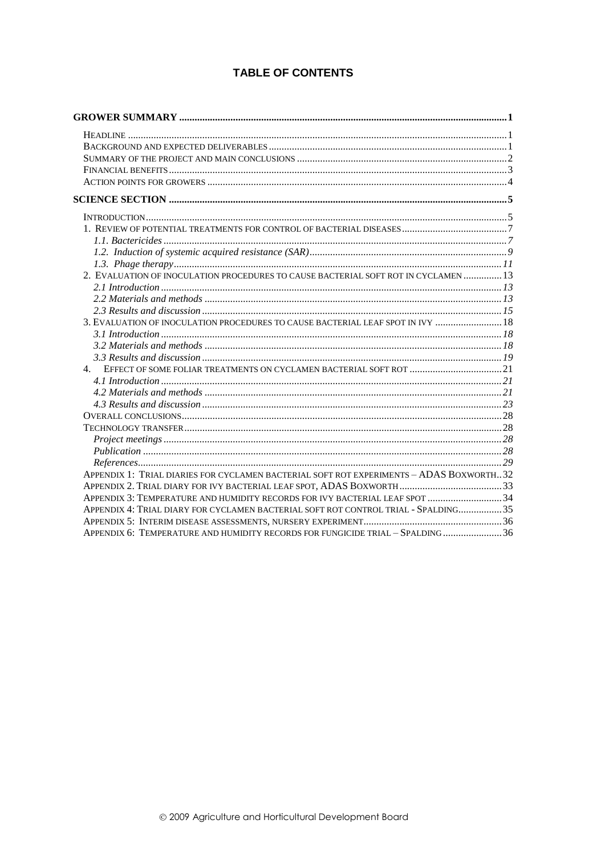# **TABLE OF CONTENTS**

| 2. EVALUATION OF INOCULATION PROCEDURES TO CAUSE BACTERIAL SOFT ROT IN CYCLAMEN  13      |  |
|------------------------------------------------------------------------------------------|--|
|                                                                                          |  |
|                                                                                          |  |
|                                                                                          |  |
| 3. EVALUATION OF INOCULATION PROCEDURES TO CAUSE BACTERIAL LEAF SPOT IN IVY  18          |  |
|                                                                                          |  |
|                                                                                          |  |
|                                                                                          |  |
| 4. EFFECT OF SOME FOLIAR TREATMENTS ON CYCLAMEN BACTERIAL SOFT ROT  21                   |  |
|                                                                                          |  |
|                                                                                          |  |
|                                                                                          |  |
|                                                                                          |  |
|                                                                                          |  |
|                                                                                          |  |
|                                                                                          |  |
|                                                                                          |  |
| APPENDIX 1: TRIAL DIARIES FOR CYCLAMEN BACTERIAL SOFT ROT EXPERIMENTS - ADAS BOXWORTH 32 |  |
|                                                                                          |  |
| APPENDIX 3: TEMPERATURE AND HUMIDITY RECORDS FOR IVY BACTERIAL LEAF SPOT  34             |  |
| APPENDIX 4: TRIAL DIARY FOR CYCLAMEN BACTERIAL SOFT ROT CONTROL TRIAL - SPALDING35       |  |
|                                                                                          |  |
| APPENDIX 6: TEMPERATURE AND HUMIDITY RECORDS FOR FUNGICIDE TRIAL - SPALDING  36          |  |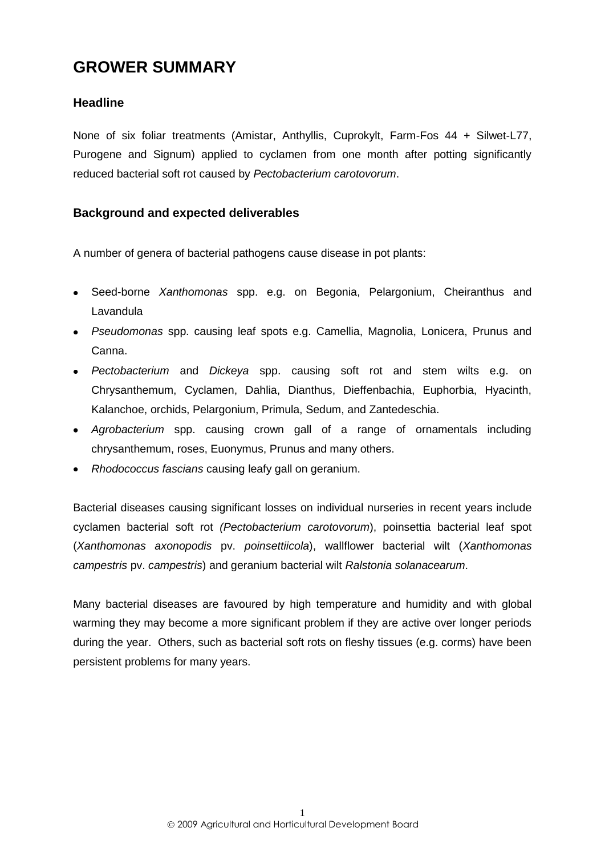# <span id="page-4-0"></span>**GROWER SUMMARY**

# <span id="page-4-1"></span>**Headline**

None of six foliar treatments (Amistar, Anthyllis, Cuprokylt, Farm-Fos 44 + Silwet-L77, Purogene and Signum) applied to cyclamen from one month after potting significantly reduced bacterial soft rot caused by *Pectobacterium carotovorum*.

# <span id="page-4-2"></span>**Background and expected deliverables**

A number of genera of bacterial pathogens cause disease in pot plants:

- Seed-borne *Xanthomonas* spp. e.g. on Begonia, Pelargonium, Cheiranthus and **Lavandula**
- *Pseudomonas* spp. causing leaf spots e.g. Camellia, Magnolia, Lonicera, Prunus and Canna.
- *Pectobacterium* and *Dickeya* spp. causing soft rot and stem wilts e.g. on Chrysanthemum, Cyclamen, Dahlia, Dianthus, Dieffenbachia, Euphorbia, Hyacinth, Kalanchoe, orchids, Pelargonium, Primula, Sedum, and Zantedeschia.
- *Agrobacterium* spp. causing crown gall of a range of ornamentals including chrysanthemum, roses, Euonymus, Prunus and many others.
- *Rhodococcus fascians* causing leafy gall on geranium.

Bacterial diseases causing significant losses on individual nurseries in recent years include cyclamen bacterial soft rot *(Pectobacterium carotovorum*), poinsettia bacterial leaf spot (*Xanthomonas axonopodis* pv. *poinsettiicola*), wallflower bacterial wilt (*Xanthomonas campestris* pv. *campestris*) and geranium bacterial wilt *Ralstonia solanacearum*.

Many bacterial diseases are favoured by high temperature and humidity and with global warming they may become a more significant problem if they are active over longer periods during the year. Others, such as bacterial soft rots on fleshy tissues (e.g. corms) have been persistent problems for many years.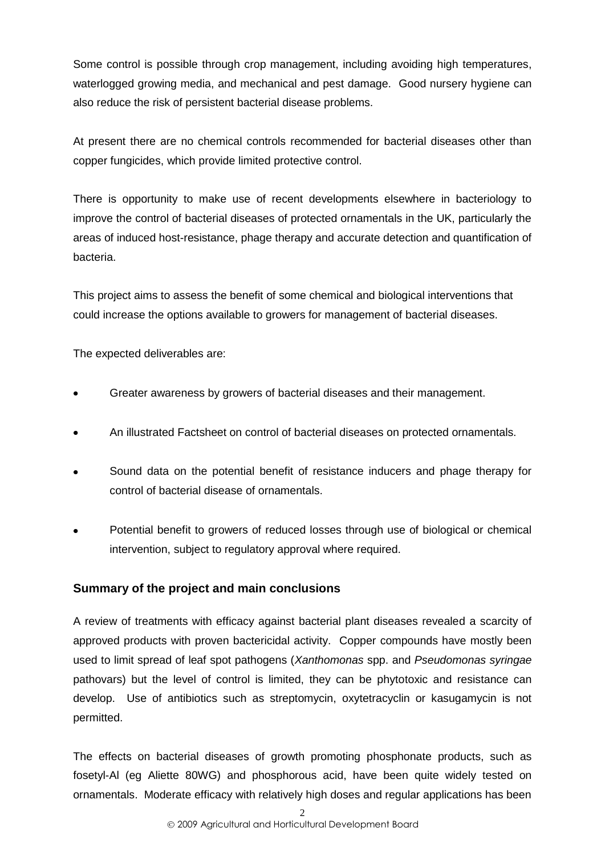Some control is possible through crop management, including avoiding high temperatures, waterlogged growing media, and mechanical and pest damage. Good nursery hygiene can also reduce the risk of persistent bacterial disease problems.

At present there are no chemical controls recommended for bacterial diseases other than copper fungicides, which provide limited protective control.

There is opportunity to make use of recent developments elsewhere in bacteriology to improve the control of bacterial diseases of protected ornamentals in the UK, particularly the areas of induced host-resistance, phage therapy and accurate detection and quantification of bacteria.

This project aims to assess the benefit of some chemical and biological interventions that could increase the options available to growers for management of bacterial diseases.

The expected deliverables are:

- Greater awareness by growers of bacterial diseases and their management.
- An illustrated Factsheet on control of bacterial diseases on protected ornamentals.
- Sound data on the potential benefit of resistance inducers and phage therapy for control of bacterial disease of ornamentals.
- Potential benefit to growers of reduced losses through use of biological or chemical intervention, subject to regulatory approval where required.

# <span id="page-5-0"></span>**Summary of the project and main conclusions**

A review of treatments with efficacy against bacterial plant diseases revealed a scarcity of approved products with proven bactericidal activity. Copper compounds have mostly been used to limit spread of leaf spot pathogens (*Xanthomonas* spp. and *Pseudomonas syringae* pathovars) but the level of control is limited, they can be phytotoxic and resistance can develop. Use of antibiotics such as streptomycin, oxytetracyclin or kasugamycin is not permitted.

The effects on bacterial diseases of growth promoting phosphonate products, such as fosetyl-Al (eg Aliette 80WG) and phosphorous acid, have been quite widely tested on ornamentals. Moderate efficacy with relatively high doses and regular applications has been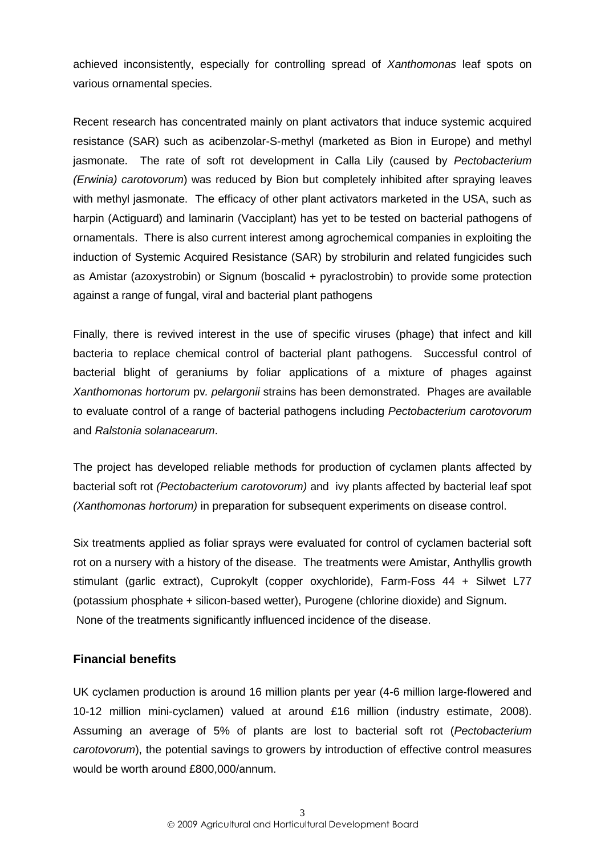achieved inconsistently, especially for controlling spread of *Xanthomonas* leaf spots on various ornamental species.

Recent research has concentrated mainly on plant activators that induce systemic acquired resistance (SAR) such as acibenzolar-S-methyl (marketed as Bion in Europe) and methyl jasmonate. The rate of soft rot development in Calla Lily (caused by *Pectobacterium (Erwinia) carotovorum*) was reduced by Bion but completely inhibited after spraying leaves with methyl jasmonate. The efficacy of other plant activators marketed in the USA, such as harpin (Actiguard) and laminarin (Vacciplant) has yet to be tested on bacterial pathogens of ornamentals. There is also current interest among agrochemical companies in exploiting the induction of Systemic Acquired Resistance (SAR) by strobilurin and related fungicides such as Amistar (azoxystrobin) or Signum (boscalid + pyraclostrobin) to provide some protection against a range of fungal, viral and bacterial plant pathogens

Finally, there is revived interest in the use of specific viruses (phage) that infect and kill bacteria to replace chemical control of bacterial plant pathogens. Successful control of bacterial blight of geraniums by foliar applications of a mixture of phages against *Xanthomonas hortorum* pv*. pelargonii* strains has been demonstrated. Phages are available to evaluate control of a range of bacterial pathogens including *Pectobacterium carotovorum* and *Ralstonia solanacearum*.

The project has developed reliable methods for production of cyclamen plants affected by bacterial soft rot *(Pectobacterium carotovorum)* and ivy plants affected by bacterial leaf spot *(Xanthomonas hortorum)* in preparation for subsequent experiments on disease control.

Six treatments applied as foliar sprays were evaluated for control of cyclamen bacterial soft rot on a nursery with a history of the disease. The treatments were Amistar, Anthyllis growth stimulant (garlic extract), Cuprokylt (copper oxychloride), Farm-Foss 44 + Silwet L77 (potassium phosphate + silicon-based wetter), Purogene (chlorine dioxide) and Signum. None of the treatments significantly influenced incidence of the disease.

# <span id="page-6-0"></span>**Financial benefits**

UK cyclamen production is around 16 million plants per year (4-6 million large-flowered and 10-12 million mini-cyclamen) valued at around £16 million (industry estimate, 2008). Assuming an average of 5% of plants are lost to bacterial soft rot (*Pectobacterium carotovorum*), the potential savings to growers by introduction of effective control measures would be worth around £800,000/annum.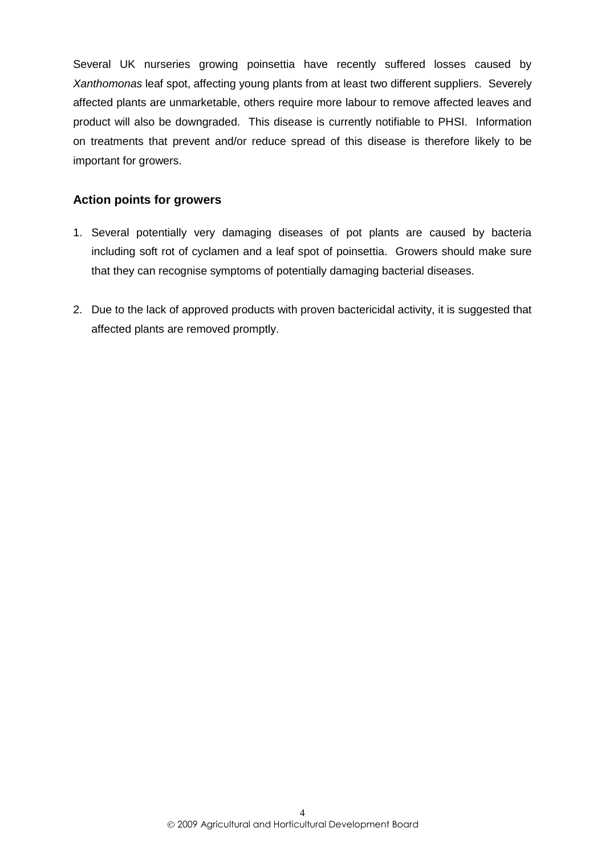Several UK nurseries growing poinsettia have recently suffered losses caused by *Xanthomonas* leaf spot, affecting young plants from at least two different suppliers. Severely affected plants are unmarketable, others require more labour to remove affected leaves and product will also be downgraded. This disease is currently notifiable to PHSI. Information on treatments that prevent and/or reduce spread of this disease is therefore likely to be important for growers.

# <span id="page-7-0"></span>**Action points for growers**

- 1. Several potentially very damaging diseases of pot plants are caused by bacteria including soft rot of cyclamen and a leaf spot of poinsettia. Growers should make sure that they can recognise symptoms of potentially damaging bacterial diseases.
- 2. Due to the lack of approved products with proven bactericidal activity, it is suggested that affected plants are removed promptly.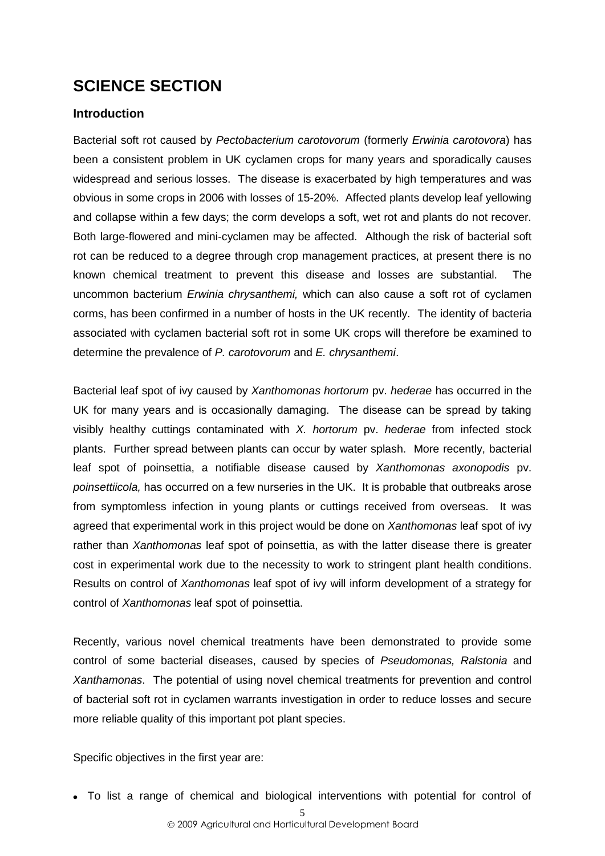# <span id="page-8-0"></span>**SCIENCE SECTION**

# <span id="page-8-1"></span>**Introduction**

Bacterial soft rot caused by *Pectobacterium carotovorum* (formerly *Erwinia carotovora*) has been a consistent problem in UK cyclamen crops for many years and sporadically causes widespread and serious losses. The disease is exacerbated by high temperatures and was obvious in some crops in 2006 with losses of 15-20%. Affected plants develop leaf yellowing and collapse within a few days; the corm develops a soft, wet rot and plants do not recover. Both large-flowered and mini-cyclamen may be affected. Although the risk of bacterial soft rot can be reduced to a degree through crop management practices, at present there is no known chemical treatment to prevent this disease and losses are substantial. The uncommon bacterium *Erwinia chrysanthemi,* which can also cause a soft rot of cyclamen corms, has been confirmed in a number of hosts in the UK recently. The identity of bacteria associated with cyclamen bacterial soft rot in some UK crops will therefore be examined to determine the prevalence of *P. carotovorum* and *E. chrysanthemi*.

Bacterial leaf spot of ivy caused by *Xanthomonas hortorum* pv. *hederae* has occurred in the UK for many years and is occasionally damaging. The disease can be spread by taking visibly healthy cuttings contaminated with *X. hortorum* pv. *hederae* from infected stock plants. Further spread between plants can occur by water splash. More recently, bacterial leaf spot of poinsettia, a notifiable disease caused by *Xanthomonas axonopodis* pv. *poinsettiicola,* has occurred on a few nurseries in the UK. It is probable that outbreaks arose from symptomless infection in young plants or cuttings received from overseas. It was agreed that experimental work in this project would be done on *Xanthomonas* leaf spot of ivy rather than *Xanthomonas* leaf spot of poinsettia, as with the latter disease there is greater cost in experimental work due to the necessity to work to stringent plant health conditions. Results on control of *Xanthomonas* leaf spot of ivy will inform development of a strategy for control of *Xanthomonas* leaf spot of poinsettia.

Recently, various novel chemical treatments have been demonstrated to provide some control of some bacterial diseases, caused by species of *Pseudomonas, Ralstonia* and *Xanthamonas*. The potential of using novel chemical treatments for prevention and control of bacterial soft rot in cyclamen warrants investigation in order to reduce losses and secure more reliable quality of this important pot plant species.

Specific objectives in the first year are:

To list a range of chemical and biological interventions with potential for control of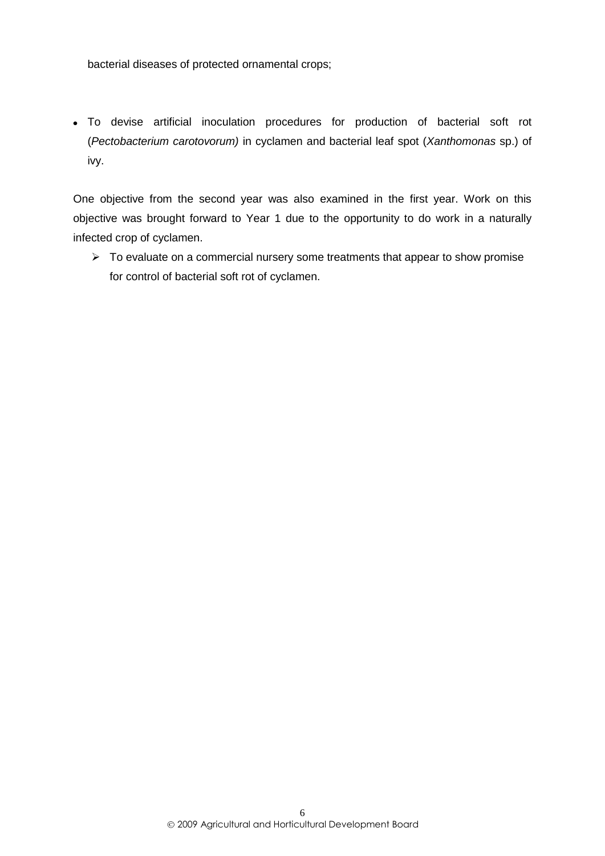bacterial diseases of protected ornamental crops;

To devise artificial inoculation procedures for production of bacterial soft rot (*Pectobacterium carotovorum)* in cyclamen and bacterial leaf spot (*Xanthomonas* sp.) of ivy.

One objective from the second year was also examined in the first year. Work on this objective was brought forward to Year 1 due to the opportunity to do work in a naturally infected crop of cyclamen.

 $\triangleright$  To evaluate on a commercial nursery some treatments that appear to show promise for control of bacterial soft rot of cyclamen.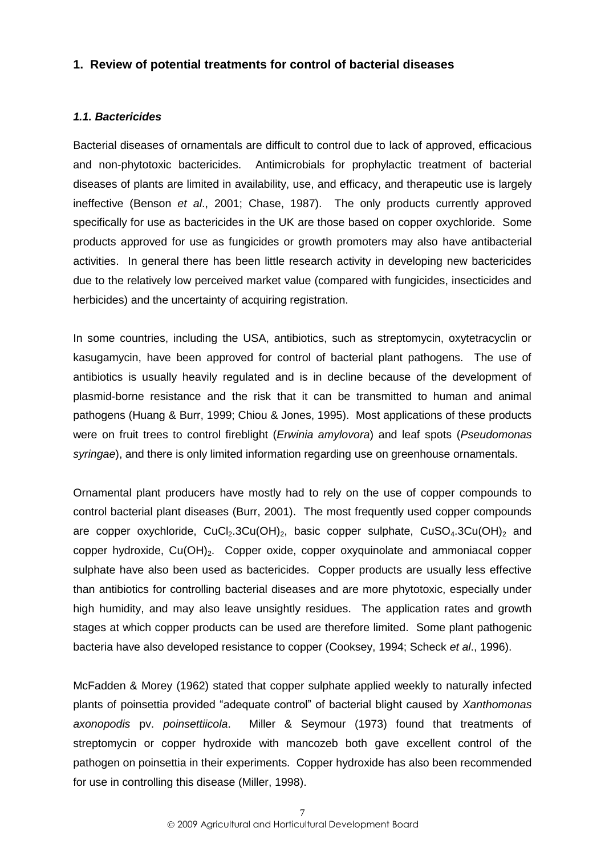# <span id="page-10-0"></span>**1. Review of potential treatments for control of bacterial diseases**

#### <span id="page-10-1"></span>*1.1. Bactericides*

Bacterial diseases of ornamentals are difficult to control due to lack of approved, efficacious and non-phytotoxic bactericides. Antimicrobials for prophylactic treatment of bacterial diseases of plants are limited in availability, use, and efficacy, and therapeutic use is largely ineffective (Benson *et al*., 2001; Chase, 1987). The only products currently approved specifically for use as bactericides in the UK are those based on copper oxychloride. Some products approved for use as fungicides or growth promoters may also have antibacterial activities. In general there has been little research activity in developing new bactericides due to the relatively low perceived market value (compared with fungicides, insecticides and herbicides) and the uncertainty of acquiring registration.

In some countries, including the USA, antibiotics, such as streptomycin, oxytetracyclin or kasugamycin, have been approved for control of bacterial plant pathogens. The use of antibiotics is usually heavily regulated and is in decline because of the development of plasmid-borne resistance and the risk that it can be transmitted to human and animal pathogens (Huang & Burr, 1999; Chiou & Jones, 1995). Most applications of these products were on fruit trees to control fireblight (*Erwinia amylovora*) and leaf spots (*Pseudomonas syringae*), and there is only limited information regarding use on greenhouse ornamentals.

Ornamental plant producers have mostly had to rely on the use of copper compounds to control bacterial plant diseases (Burr, 2001). The most frequently used copper compounds are copper oxychloride,  $CuCl<sub>2</sub>$ .3Cu(OH)<sub>2</sub>, basic copper sulphate,  $CuSO<sub>4</sub>$ .3Cu(OH)<sub>2</sub> and copper hydroxide, Cu(OH)<sub>2</sub>. Copper oxide, copper oxyquinolate and ammoniacal copper sulphate have also been used as bactericides. Copper products are usually less effective than antibiotics for controlling bacterial diseases and are more phytotoxic, especially under high humidity, and may also leave unsightly residues. The application rates and growth stages at which copper products can be used are therefore limited. Some plant pathogenic bacteria have also developed resistance to copper (Cooksey, 1994; Scheck *et al*., 1996).

McFadden & Morey (1962) stated that copper sulphate applied weekly to naturally infected plants of poinsettia provided "adequate control" of bacterial blight caused by *Xanthomonas axonopodis* pv. *poinsettiicola*. Miller & Seymour (1973) found that treatments of streptomycin or copper hydroxide with mancozeb both gave excellent control of the pathogen on poinsettia in their experiments. Copper hydroxide has also been recommended for use in controlling this disease (Miller, 1998).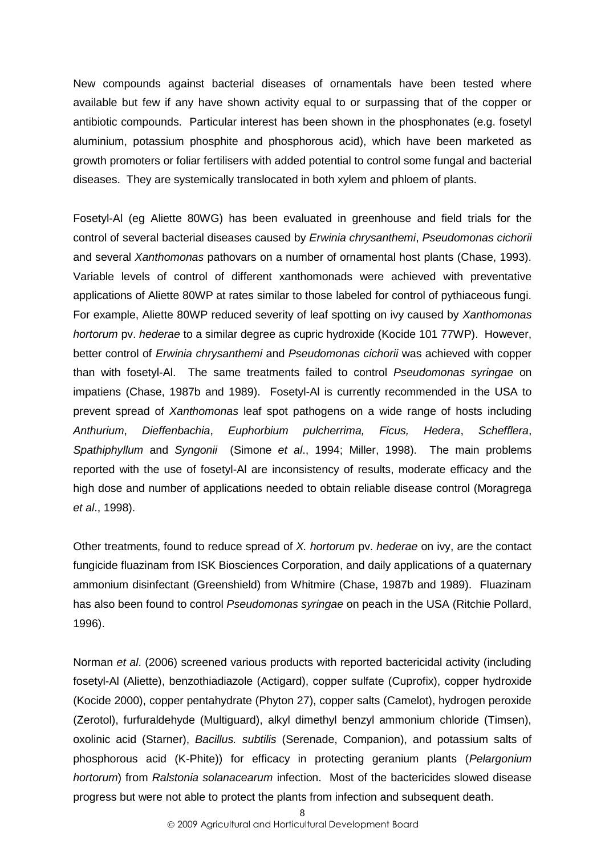New compounds against bacterial diseases of ornamentals have been tested where available but few if any have shown activity equal to or surpassing that of the copper or antibiotic compounds. Particular interest has been shown in the phosphonates (e.g. fosetyl aluminium, potassium phosphite and phosphorous acid), which have been marketed as growth promoters or foliar fertilisers with added potential to control some fungal and bacterial diseases. They are systemically translocated in both xylem and phloem of plants.

Fosetyl-Al (eg Aliette 80WG) has been evaluated in greenhouse and field trials for the control of several bacterial diseases caused by *Erwinia chrysanthemi*, *Pseudomonas cichorii*  and several *Xanthomonas* pathovars on a number of ornamental host plants (Chase, 1993). Variable levels of control of different xanthomonads were achieved with preventative applications of Aliette 80WP at rates similar to those labeled for control of pythiaceous fungi. For example, Aliette 80WP reduced severity of leaf spotting on ivy caused by *Xanthomonas hortorum* pv. *hederae* to a similar degree as cupric hydroxide (Kocide 101 77WP). However, better control of *Erwinia chrysanthemi* and *Pseudomonas cichorii* was achieved with copper than with fosetyl-Al. The same treatments failed to control *Pseudomonas syringae* on impatiens (Chase, 1987b and 1989). Fosetyl-Al is currently recommended in the USA to prevent spread of *Xanthomonas* leaf spot pathogens on a wide range of hosts including *Anthurium*, *Dieffenbachia*, *Euphorbium pulcherrima, Ficus, Hedera*, *Schefflera*, *Spathiphyllum* and *Syngonii* (Simone *et al*., 1994; Miller, 1998). The main problems reported with the use of fosetyl-Al are inconsistency of results, moderate efficacy and the high dose and number of applications needed to obtain reliable disease control (Moragrega *et al*., 1998).

Other treatments, found to reduce spread of *X. hortorum* pv. *hederae* on ivy, are the contact fungicide fluazinam from ISK Biosciences Corporation, and daily applications of a quaternary ammonium disinfectant (Greenshield) from Whitmire (Chase, 1987b and 1989). Fluazinam has also been found to control *Pseudomonas syringae* on peach in the USA (Ritchie Pollard, 1996).

Norman *et al*. (2006) screened various products with reported bactericidal activity (including fosetyl-Al (Aliette), benzothiadiazole (Actigard), copper sulfate (Cuprofix), copper hydroxide (Kocide 2000), copper pentahydrate (Phyton 27), copper salts (Camelot), hydrogen peroxide (Zerotol), furfuraldehyde (Multiguard), alkyl dimethyl benzyl ammonium chloride (Timsen), oxolinic acid (Starner), *Bacillus. subtilis* (Serenade, Companion), and potassium salts of phosphorous acid (K-Phite)) for efficacy in protecting geranium plants (*Pelargonium hortorum*) from *Ralstonia solanacearum* infection. Most of the bactericides slowed disease progress but were not able to protect the plants from infection and subsequent death.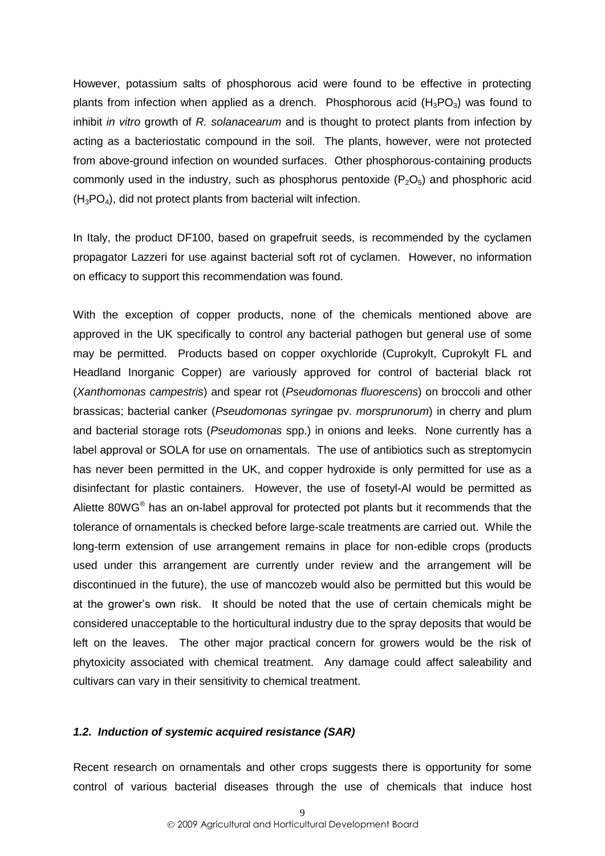However, potassium salts of phosphorous acid were found to be effective in protecting plants from infection when applied as a drench. Phosphorous acid  $(H_3PO_3)$  was found to inhibit *in vitro* growth of *R. solanacearum* and is thought to protect plants from infection by acting as a bacteriostatic compound in the soil. The plants, however, were not protected from above-ground infection on wounded surfaces. Other phosphorous-containing products commonly used in the industry, such as phosphorus pentoxide  $(P_2O_5)$  and phosphoric acid  $(H_3PO_4)$ , did not protect plants from bacterial wilt infection.

In Italy, the product DF100, based on grapefruit seeds, is recommended by the cyclamen propagator Lazzeri for use against bacterial soft rot of cyclamen. However, no information on efficacy to support this recommendation was found.

With the exception of copper products, none of the chemicals mentioned above are approved in the UK specifically to control any bacterial pathogen but general use of some may be permitted. Products based on copper oxychloride (Cuprokylt, Cuprokylt FL and Headland Inorganic Copper) are variously approved for control of bacterial black rot (*Xanthomonas campestris*) and spear rot (*Pseudomonas fluorescens*) on broccoli and other brassicas; bacterial canker (*Pseudomonas syringae* pv. *morsprunorum*) in cherry and plum and bacterial storage rots (*Pseudomonas* spp.) in onions and leeks. None currently has a label approval or SOLA for use on ornamentals. The use of antibiotics such as streptomycin has never been permitted in the UK, and copper hydroxide is only permitted for use as a disinfectant for plastic containers. However, the use of fosetyl-Al would be permitted as Aliette 80WG<sup>®</sup> has an on-label approval for protected pot plants but it recommends that the tolerance of ornamentals is checked before large-scale treatments are carried out. While the long-term extension of use arrangement remains in place for non-edible crops (products used under this arrangement are currently under review and the arrangement will be discontinued in the future), the use of mancozeb would also be permitted but this would be at the grower"s own risk. It should be noted that the use of certain chemicals might be considered unacceptable to the horticultural industry due to the spray deposits that would be left on the leaves. The other major practical concern for growers would be the risk of phytoxicity associated with chemical treatment. Any damage could affect saleability and cultivars can vary in their sensitivity to chemical treatment.

#### <span id="page-12-0"></span>*1.2. Induction of systemic acquired resistance (SAR)*

Recent research on ornamentals and other crops suggests there is opportunity for some control of various bacterial diseases through the use of chemicals that induce host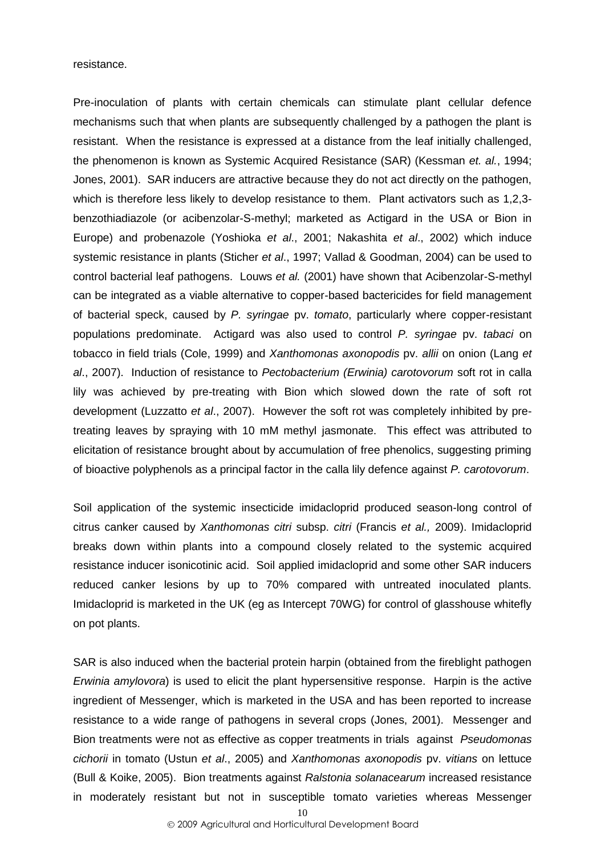#### resistance.

Pre-inoculation of plants with certain chemicals can stimulate plant cellular defence mechanisms such that when plants are subsequently challenged by a pathogen the plant is resistant. When the resistance is expressed at a distance from the leaf initially challenged, the phenomenon is known as Systemic Acquired Resistance (SAR) (Kessman *et. al.*, 1994; Jones, 2001). SAR inducers are attractive because they do not act directly on the pathogen, which is therefore less likely to develop resistance to them. Plant activators such as 1,2,3 benzothiadiazole (or acibenzolar-S-methyl; marketed as Actigard in the USA or Bion in Europe) and probenazole (Yoshioka *et al*., 2001; Nakashita *et al*., 2002) which induce systemic resistance in plants (Sticher *et al*., 1997; Vallad & Goodman, 2004) can be used to control bacterial leaf pathogens. Louws *et al.* (2001) have shown that Acibenzolar-S-methyl can be integrated as a viable alternative to copper-based bactericides for field management of bacterial speck, caused by *P. syringae* pv. *tomato*, particularly where copper-resistant populations predominate. Actigard was also used to control *P. syringae* pv. *tabaci* on tobacco in field trials (Cole, 1999) and *Xanthomonas axonopodis* pv. *allii* on onion (Lang *et al*., 2007). Induction of resistance to *Pectobacterium (Erwinia) carotovorum* soft rot in calla lily was achieved by pre-treating with Bion which slowed down the rate of soft rot development (Luzzatto *et al*., 2007). However the soft rot was completely inhibited by pretreating leaves by spraying with 10 mM methyl jasmonate. This effect was attributed to elicitation of resistance brought about by accumulation of free phenolics, suggesting priming of bioactive polyphenols as a principal factor in the calla lily defence against *P. carotovorum*.

Soil application of the systemic insecticide imidacloprid produced season-long control of citrus canker caused by *Xanthomonas citri* subsp. *citri* (Francis *et al.,* 2009). Imidacloprid breaks down within plants into a compound closely related to the systemic acquired resistance inducer isonicotinic acid. Soil applied imidacloprid and some other SAR inducers reduced canker lesions by up to 70% compared with untreated inoculated plants. Imidacloprid is marketed in the UK (eg as Intercept 70WG) for control of glasshouse whitefly on pot plants.

SAR is also induced when the bacterial protein harpin (obtained from the fireblight pathogen *Erwinia amylovora*) is used to elicit the plant hypersensitive response. Harpin is the active ingredient of Messenger, which is marketed in the USA and has been reported to increase resistance to a wide range of pathogens in several crops (Jones, 2001). Messenger and Bion treatments were not as effective as copper treatments in trials against *Pseudomonas cichorii* in tomato (Ustun *et al*., 2005) and *Xanthomonas axonopodis* pv. *vitians* on lettuce (Bull & Koike, 2005). Bion treatments against *Ralstonia solanacearum* increased resistance in moderately resistant but not in susceptible tomato varieties whereas Messenger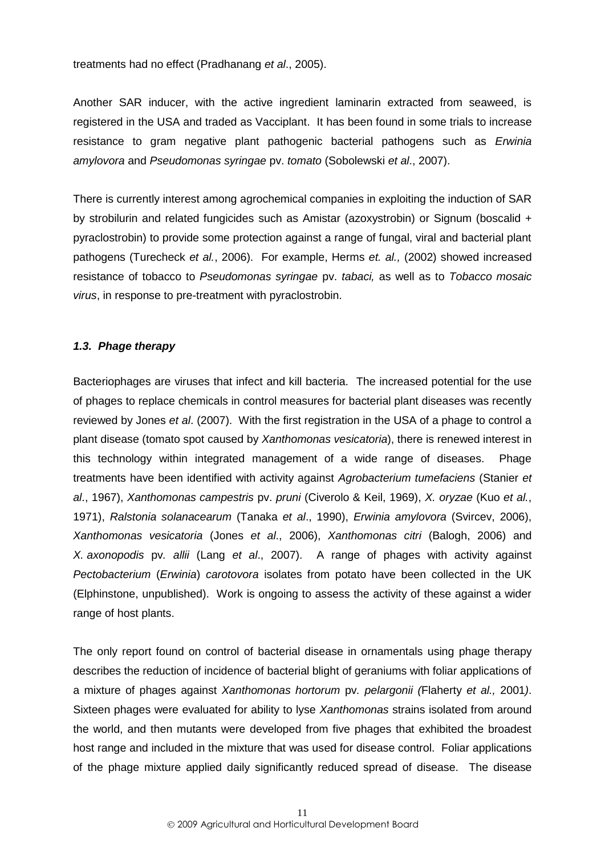treatments had no effect (Pradhanang *et al*., 2005).

Another SAR inducer, with the active ingredient laminarin extracted from seaweed, is registered in the USA and traded as Vacciplant. It has been found in some trials to increase resistance to gram negative plant pathogenic bacterial pathogens such as *Erwinia amylovora* and *Pseudomonas syringae* pv. *tomato* (Sobolewski *et al*., 2007).

There is currently interest among agrochemical companies in exploiting the induction of SAR by strobilurin and related fungicides such as Amistar (azoxystrobin) or Signum (boscalid + pyraclostrobin) to provide some protection against a range of fungal, viral and bacterial plant pathogens (Turecheck *et al.*, 2006). For example, Herms *et. al.,* (2002) showed increased resistance of tobacco to *Pseudomonas syringae* pv. *tabaci,* as well as to *Tobacco mosaic virus*, in response to pre-treatment with pyraclostrobin.

#### <span id="page-14-0"></span>*1.3. Phage therapy*

Bacteriophages are viruses that infect and kill bacteria. The increased potential for the use of phages to replace chemicals in control measures for bacterial plant diseases was recently reviewed by Jones *et al*. (2007). With the first registration in the USA of a phage to control a plant disease (tomato spot caused by *Xanthomonas vesicatoria*), there is renewed interest in this technology within integrated management of a wide range of diseases. Phage treatments have been identified with activity against *Agrobacterium tumefaciens* (Stanier *et al*., 1967), *Xanthomonas campestris* pv. *pruni* (Civerolo & Keil, 1969), *X. oryzae* (Kuo *et al.*, 1971), *Ralstonia solanacearum* (Tanaka *et al*., 1990), *Erwinia amylovora* (Svircev, 2006), *Xanthomonas vesicatoria* (Jones *et al*., 2006), *Xanthomonas citri* (Balogh, 2006) and *X. axonopodis* pv*. allii* (Lang *et al*., 2007). A range of phages with activity against *Pectobacterium* (*Erwinia*) *carotovora* isolates from potato have been collected in the UK (Elphinstone, unpublished). Work is ongoing to assess the activity of these against a wider range of host plants.

The only report found on control of bacterial disease in ornamentals using phage therapy describes the reduction of incidence of bacterial blight of geraniums with foliar applications of a mixture of phages against *Xanthomonas hortorum* pv*. pelargonii (*Flaherty *et al.,* 2001*)*. Sixteen phages were evaluated for ability to lyse *Xanthomonas* strains isolated from around the world, and then mutants were developed from five phages that exhibited the broadest host range and included in the mixture that was used for disease control. Foliar applications of the phage mixture applied daily significantly reduced spread of disease. The disease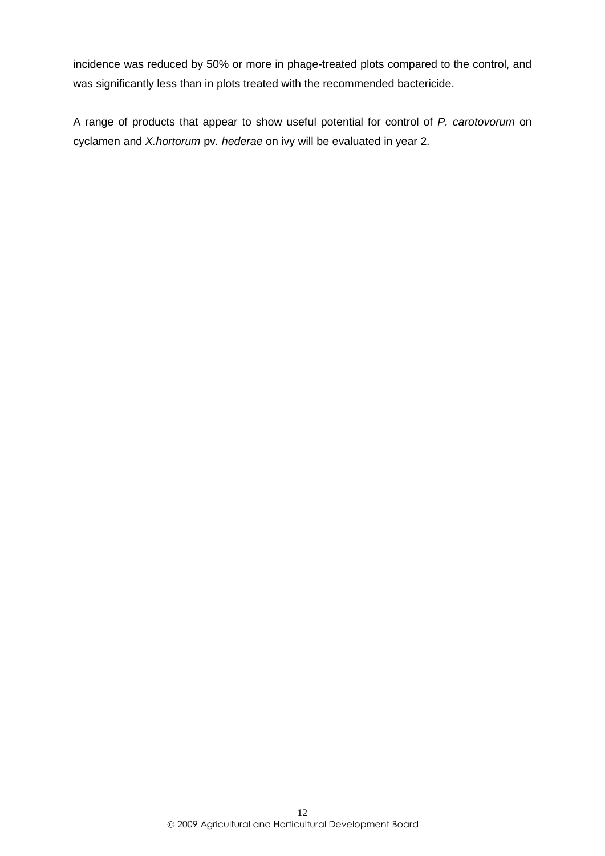incidence was reduced by 50% or more in phage-treated plots compared to the control, and was significantly less than in plots treated with the recommended bactericide.

A range of products that appear to show useful potential for control of *P. carotovorum* on cyclamen and *X.hortorum* pv*. hederae* on ivy will be evaluated in year 2.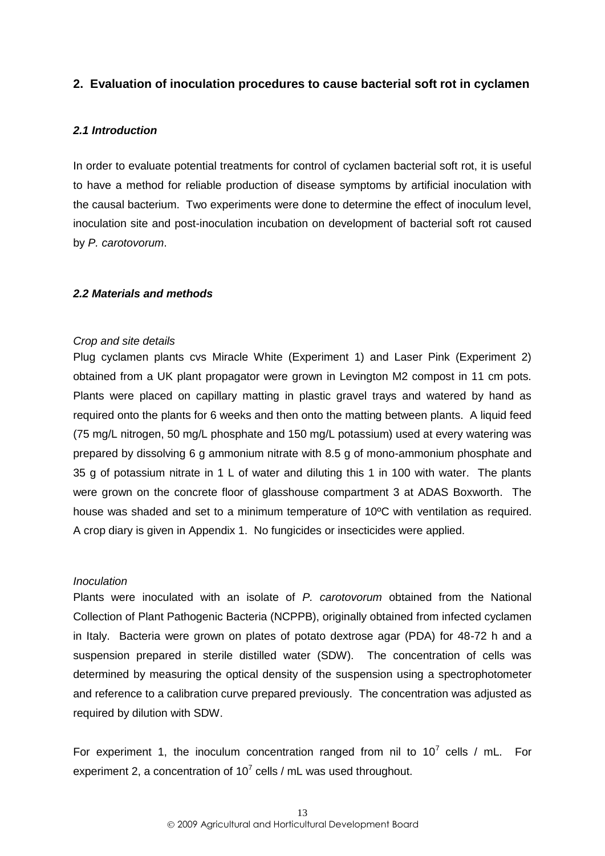# <span id="page-16-0"></span>**2. Evaluation of inoculation procedures to cause bacterial soft rot in cyclamen**

#### <span id="page-16-1"></span>*2.1 Introduction*

In order to evaluate potential treatments for control of cyclamen bacterial soft rot, it is useful to have a method for reliable production of disease symptoms by artificial inoculation with the causal bacterium. Two experiments were done to determine the effect of inoculum level, inoculation site and post-inoculation incubation on development of bacterial soft rot caused by *P. carotovorum*.

#### <span id="page-16-2"></span>*2.2 Materials and methods*

#### *Crop and site details*

Plug cyclamen plants cvs Miracle White (Experiment 1) and Laser Pink (Experiment 2) obtained from a UK plant propagator were grown in Levington M2 compost in 11 cm pots. Plants were placed on capillary matting in plastic gravel trays and watered by hand as required onto the plants for 6 weeks and then onto the matting between plants. A liquid feed (75 mg/L nitrogen, 50 mg/L phosphate and 150 mg/L potassium) used at every watering was prepared by dissolving 6 g ammonium nitrate with 8.5 g of mono-ammonium phosphate and 35 g of potassium nitrate in 1 L of water and diluting this 1 in 100 with water. The plants were grown on the concrete floor of glasshouse compartment 3 at ADAS Boxworth. The house was shaded and set to a minimum temperature of 10ºC with ventilation as required. A crop diary is given in Appendix 1. No fungicides or insecticides were applied.

#### *Inoculation*

Plants were inoculated with an isolate of *P. carotovorum* obtained from the National Collection of Plant Pathogenic Bacteria (NCPPB), originally obtained from infected cyclamen in Italy. Bacteria were grown on plates of potato dextrose agar (PDA) for 48-72 h and a suspension prepared in sterile distilled water (SDW). The concentration of cells was determined by measuring the optical density of the suspension using a spectrophotometer and reference to a calibration curve prepared previously. The concentration was adjusted as required by dilution with SDW.

For experiment 1, the inoculum concentration ranged from nil to  $10^7$  cells / mL. For experiment 2, a concentration of  $10^7$  cells / mL was used throughout.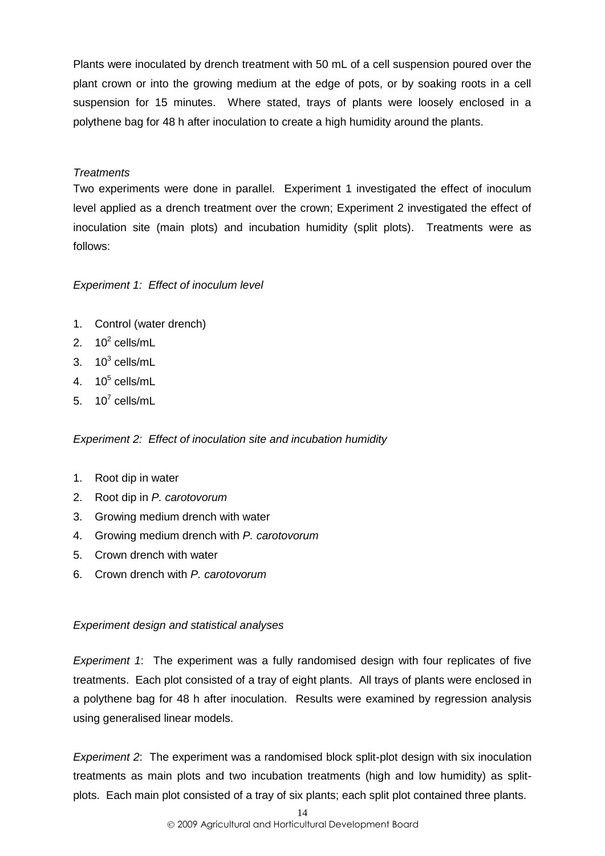Plants were inoculated by drench treatment with 50 mL of a cell suspension poured over the plant crown or into the growing medium at the edge of pots, or by soaking roots in a cell suspension for 15 minutes. Where stated, trays of plants were loosely enclosed in a polythene bag for 48 h after inoculation to create a high humidity around the plants.

# *Treatments*

Two experiments were done in parallel. Experiment 1 investigated the effect of inoculum level applied as a drench treatment over the crown; Experiment 2 investigated the effect of inoculation site (main plots) and incubation humidity (split plots). Treatments were as follows:

# *Experiment 1: Effect of inoculum level*

- 1. Control (water drench)
- 2.  $10^2$  cells/mL
- 3.  $10^3$  cells/mL
- 4.  $10^5$  cells/mL
- 5.  $10^7$  cells/mL

*Experiment 2: Effect of inoculation site and incubation humidity*

- 1. Root dip in water
- 2. Root dip in *P. carotovorum*
- 3. Growing medium drench with water
- 4. Growing medium drench with *P. carotovorum*
- 5. Crown drench with water
- 6. Crown drench with *P. carotovorum*

# *Experiment design and statistical analyses*

*Experiment 1*: The experiment was a fully randomised design with four replicates of five treatments. Each plot consisted of a tray of eight plants. All trays of plants were enclosed in a polythene bag for 48 h after inoculation. Results were examined by regression analysis using generalised linear models.

*Experiment 2*: The experiment was a randomised block split-plot design with six inoculation treatments as main plots and two incubation treatments (high and low humidity) as splitplots. Each main plot consisted of a tray of six plants; each split plot contained three plants.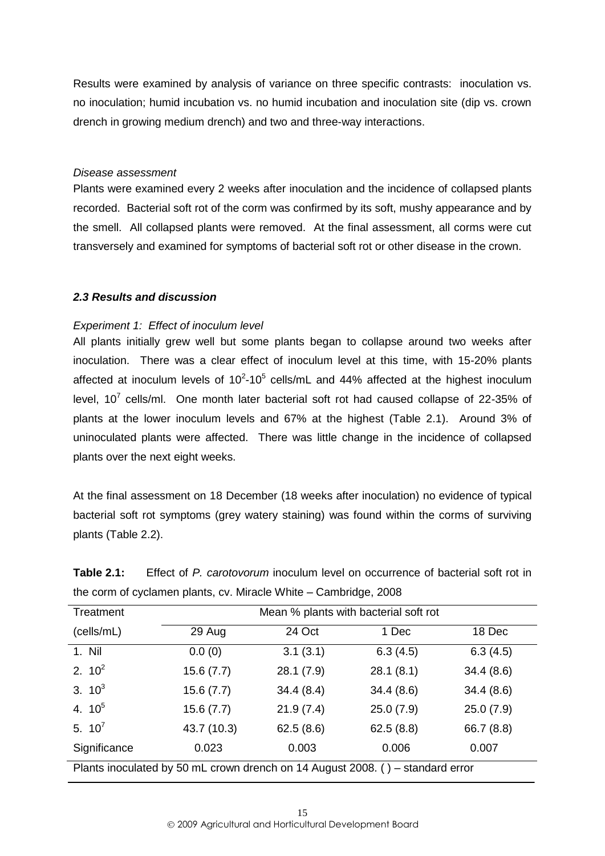Results were examined by analysis of variance on three specific contrasts: inoculation vs. no inoculation; humid incubation vs. no humid incubation and inoculation site (dip vs. crown drench in growing medium drench) and two and three-way interactions.

#### *Disease assessment*

Plants were examined every 2 weeks after inoculation and the incidence of collapsed plants recorded. Bacterial soft rot of the corm was confirmed by its soft, mushy appearance and by the smell. All collapsed plants were removed. At the final assessment, all corms were cut transversely and examined for symptoms of bacterial soft rot or other disease in the crown.

# <span id="page-18-0"></span>*2.3 Results and discussion*

#### *Experiment 1: Effect of inoculum level*

All plants initially grew well but some plants began to collapse around two weeks after inoculation. There was a clear effect of inoculum level at this time, with 15-20% plants affected at inoculum levels of  $10^2$ -10<sup>5</sup> cells/mL and 44% affected at the highest inoculum level, 10<sup>7</sup> cells/ml. One month later bacterial soft rot had caused collapse of 22-35% of plants at the lower inoculum levels and 67% at the highest (Table 2.1). Around 3% of uninoculated plants were affected. There was little change in the incidence of collapsed plants over the next eight weeks.

At the final assessment on 18 December (18 weeks after inoculation) no evidence of typical bacterial soft rot symptoms (grey watery staining) was found within the corms of surviving plants (Table 2.2).

| Treatment                                                                      | Mean % plants with bacterial soft rot |           |           |            |  |  |  |  |
|--------------------------------------------------------------------------------|---------------------------------------|-----------|-----------|------------|--|--|--|--|
| (cells/mL)                                                                     | 24 Oct<br>29 Aug<br>1 Dec<br>18 Dec   |           |           |            |  |  |  |  |
| 1. Nil                                                                         | 0.0(0)                                | 3.1(3.1)  | 6.3(4.5)  | 6.3(4.5)   |  |  |  |  |
| 2. $10^2$                                                                      | 15.6(7.7)                             | 28.1(7.9) | 28.1(8.1) | 34.4(8.6)  |  |  |  |  |
| 3. $10^3$                                                                      | 15.6(7.7)                             | 34.4(8.4) | 34.4(8.6) | 34.4(8.6)  |  |  |  |  |
| 4. $10^5$                                                                      | 15.6(7.7)                             | 21.9(7.4) | 25.0(7.9) | 25.0(7.9)  |  |  |  |  |
| 5. $10^7$                                                                      | 43.7 (10.3)                           | 62.5(8.6) | 62.5(8.8) | 66.7 (8.8) |  |  |  |  |
| Significance                                                                   | 0.023                                 | 0.003     | 0.006     | 0.007      |  |  |  |  |
| Plants inoculated by 50 mL crown drench on 14 August 2008. () – standard error |                                       |           |           |            |  |  |  |  |

**Table 2.1:** Effect of *P. carotovorum* inoculum level on occurrence of bacterial soft rot in the corm of cyclamen plants, cv. Miracle White – Cambridge, 2008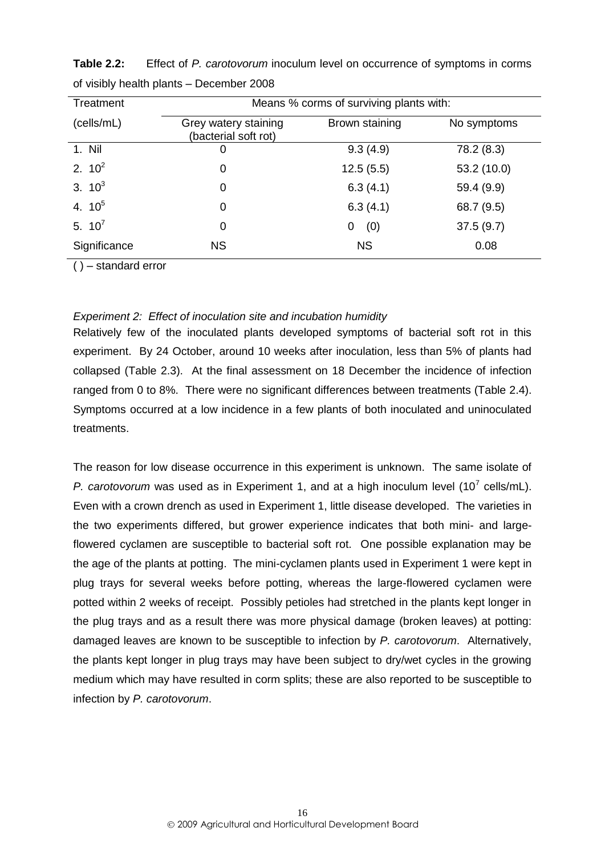| Treatment    |                                              | Means % corms of surviving plants with: |             |  |  |  |  |
|--------------|----------------------------------------------|-----------------------------------------|-------------|--|--|--|--|
| (cells/mL)   | Grey watery staining<br>(bacterial soft rot) | Brown staining                          | No symptoms |  |  |  |  |
| 1. Nil       | 0                                            | 9.3(4.9)                                | 78.2 (8.3)  |  |  |  |  |
| 2. $10^2$    | 0                                            | 12.5(5.5)                               | 53.2 (10.0) |  |  |  |  |
| 3. $10^3$    | 0                                            | 6.3(4.1)                                | 59.4 (9.9)  |  |  |  |  |
| 4. $10^5$    | 0                                            | 6.3(4.1)                                | 68.7 (9.5)  |  |  |  |  |
| 5. $10^7$    | 0                                            | (0)<br>0                                | 37.5(9.7)   |  |  |  |  |
| Significance | <b>NS</b>                                    | <b>NS</b>                               | 0.08        |  |  |  |  |

**Table 2.2:** Effect of *P. carotovorum* inoculum level on occurrence of symptoms in corms of visibly health plants – December 2008

 $( ) -$ standard error

# *Experiment 2: Effect of inoculation site and incubation humidity*

Relatively few of the inoculated plants developed symptoms of bacterial soft rot in this experiment. By 24 October, around 10 weeks after inoculation, less than 5% of plants had collapsed (Table 2.3). At the final assessment on 18 December the incidence of infection ranged from 0 to 8%. There were no significant differences between treatments (Table 2.4). Symptoms occurred at a low incidence in a few plants of both inoculated and uninoculated treatments.

The reason for low disease occurrence in this experiment is unknown. The same isolate of P. carotovorum was used as in Experiment 1, and at a high inoculum level  $(10^7 \text{ cells/mL})$ . Even with a crown drench as used in Experiment 1, little disease developed. The varieties in the two experiments differed, but grower experience indicates that both mini- and largeflowered cyclamen are susceptible to bacterial soft rot. One possible explanation may be the age of the plants at potting. The mini-cyclamen plants used in Experiment 1 were kept in plug trays for several weeks before potting, whereas the large-flowered cyclamen were potted within 2 weeks of receipt. Possibly petioles had stretched in the plants kept longer in the plug trays and as a result there was more physical damage (broken leaves) at potting: damaged leaves are known to be susceptible to infection by *P. carotovorum*. Alternatively, the plants kept longer in plug trays may have been subject to dry/wet cycles in the growing medium which may have resulted in corm splits; these are also reported to be susceptible to infection by *P. carotovorum*.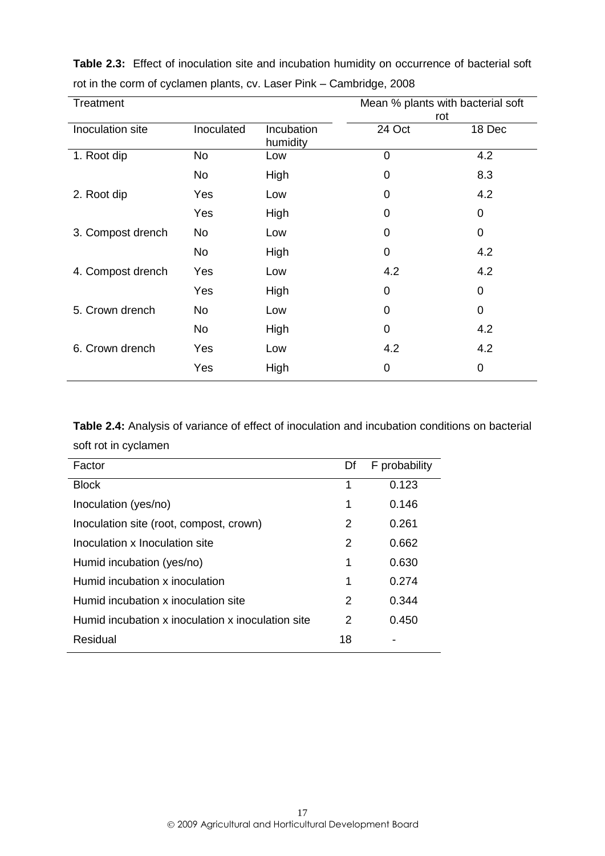| Treatment         |            |                        | Mean % plants with bacterial soft<br>rot |                |
|-------------------|------------|------------------------|------------------------------------------|----------------|
| Inoculation site  | Inoculated | Incubation<br>humidity | 24 Oct                                   | 18 Dec         |
| 1. Root dip       | No         | Low                    | 0                                        | 4.2            |
|                   | <b>No</b>  | High                   | 0                                        | 8.3            |
| 2. Root dip       | Yes        | Low                    | 0                                        | 4.2            |
|                   | Yes        | High                   | 0                                        | $\Omega$       |
| 3. Compost drench | No         | Low                    | 0                                        | $\overline{0}$ |
|                   | <b>No</b>  | High                   | 0                                        | 4.2            |
| 4. Compost drench | Yes        | Low                    | 4.2                                      | 4.2            |
|                   | Yes        | High                   | 0                                        | 0              |
| 5. Crown drench   | <b>No</b>  | Low                    | 0                                        | $\overline{0}$ |
|                   | <b>No</b>  | High                   | 0                                        | 4.2            |
| 6. Crown drench   | Yes        | Low                    | 4.2                                      | 4.2            |
|                   | Yes        | High                   | 0                                        | 0              |

**Table 2.3:** Effect of inoculation site and incubation humidity on occurrence of bacterial soft rot in the corm of cyclamen plants, cv. Laser Pink – Cambridge, 2008

**Table 2.4:** Analysis of variance of effect of inoculation and incubation conditions on bacterial soft rot in cyclamen

| Factor                                            | Df | <b>F</b> probability |
|---------------------------------------------------|----|----------------------|
| <b>Block</b>                                      | 1  | 0.123                |
| Inoculation (yes/no)                              | 1  | 0.146                |
| Inoculation site (root, compost, crown)           | 2  | 0.261                |
| Inoculation x Inoculation site                    | 2  | 0.662                |
| Humid incubation (yes/no)                         | 1  | 0.630                |
| Humid incubation x inoculation                    | 1  | 0.274                |
| Humid incubation x inoculation site               | 2  | 0.344                |
| Humid incubation x inoculation x inoculation site | 2  | 0.450                |
| Residual                                          | 18 |                      |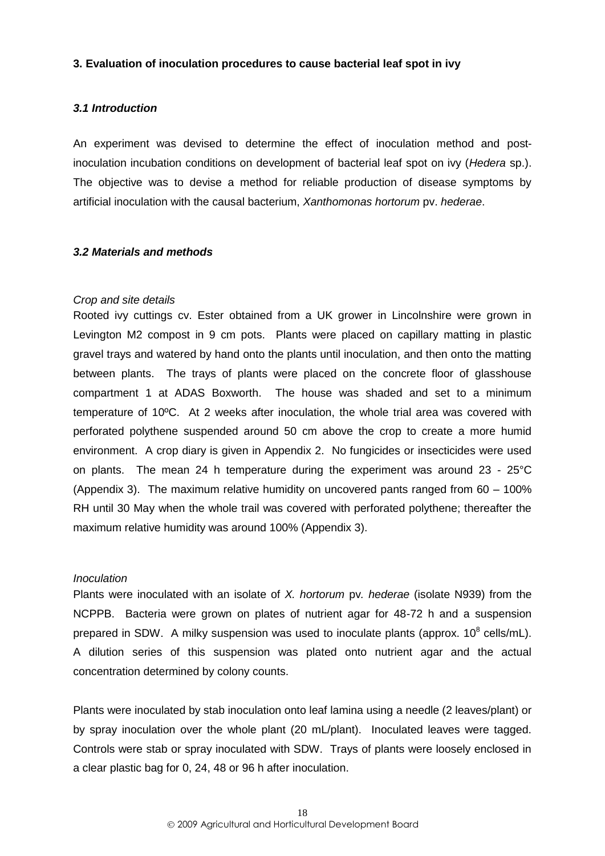#### <span id="page-21-0"></span>**3. Evaluation of inoculation procedures to cause bacterial leaf spot in ivy**

# <span id="page-21-1"></span>*3.1 Introduction*

An experiment was devised to determine the effect of inoculation method and postinoculation incubation conditions on development of bacterial leaf spot on ivy (*Hedera* sp.). The objective was to devise a method for reliable production of disease symptoms by artificial inoculation with the causal bacterium, *Xanthomonas hortorum* pv. *hederae*.

#### <span id="page-21-2"></span>*3.2 Materials and methods*

#### *Crop and site details*

Rooted ivy cuttings cv. Ester obtained from a UK grower in Lincolnshire were grown in Levington M2 compost in 9 cm pots. Plants were placed on capillary matting in plastic gravel trays and watered by hand onto the plants until inoculation, and then onto the matting between plants. The trays of plants were placed on the concrete floor of glasshouse compartment 1 at ADAS Boxworth. The house was shaded and set to a minimum temperature of 10ºC. At 2 weeks after inoculation, the whole trial area was covered with perforated polythene suspended around 50 cm above the crop to create a more humid environment. A crop diary is given in Appendix 2. No fungicides or insecticides were used on plants. The mean 24 h temperature during the experiment was around 23 - 25°C (Appendix 3). The maximum relative humidity on uncovered pants ranged from 60 – 100% RH until 30 May when the whole trail was covered with perforated polythene; thereafter the maximum relative humidity was around 100% (Appendix 3).

#### *Inoculation*

Plants were inoculated with an isolate of *X. hortorum* pv*. hederae* (isolate N939) from the NCPPB. Bacteria were grown on plates of nutrient agar for 48-72 h and a suspension prepared in SDW. A milky suspension was used to inoculate plants (approx.  $10^8$  cells/mL). A dilution series of this suspension was plated onto nutrient agar and the actual concentration determined by colony counts.

Plants were inoculated by stab inoculation onto leaf lamina using a needle (2 leaves/plant) or by spray inoculation over the whole plant (20 mL/plant). Inoculated leaves were tagged. Controls were stab or spray inoculated with SDW. Trays of plants were loosely enclosed in a clear plastic bag for 0, 24, 48 or 96 h after inoculation.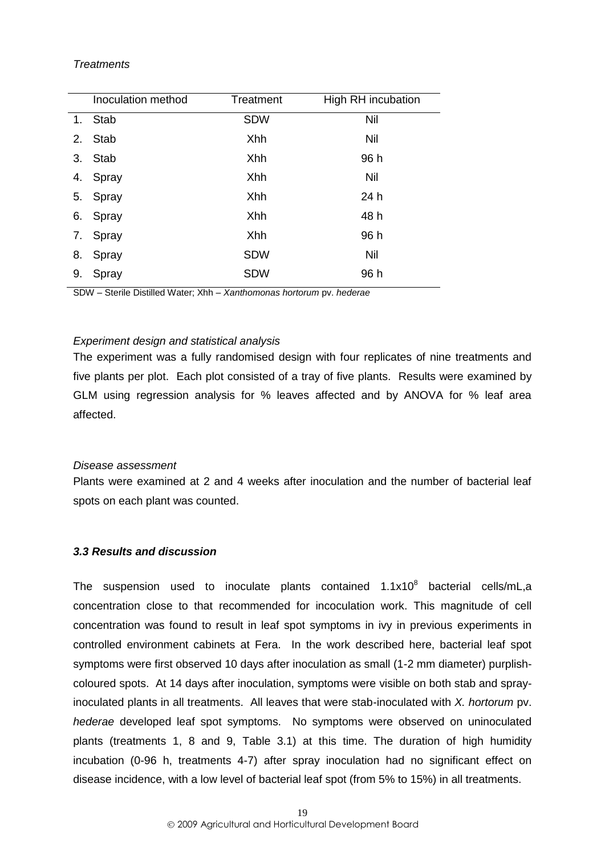#### *Treatments*

|    | Inoculation method | Treatment  | High RH incubation |
|----|--------------------|------------|--------------------|
| 1. | <b>Stab</b>        | <b>SDW</b> | Nil                |
| 2. | Stab               | Xhh        | Nil                |
| 3. | <b>Stab</b>        | Xhh        | 96 h               |
| 4. | Spray              | Xhh        | Nil                |
| 5. | Spray              | Xhh        | 24 h               |
| 6. | Spray              | Xhh        | 48 h               |
| 7. | Spray              | Xhh        | 96 h               |
| 8. | Spray              | <b>SDW</b> | Nil                |
| 9. | Spray              | <b>SDW</b> | 96 h               |
|    |                    |            |                    |

SDW – Sterile Distilled Water; Xhh – *Xanthomonas hortorum* pv. *hederae*

#### *Experiment design and statistical analysis*

The experiment was a fully randomised design with four replicates of nine treatments and five plants per plot. Each plot consisted of a tray of five plants. Results were examined by GLM using regression analysis for % leaves affected and by ANOVA for % leaf area affected.

#### *Disease assessment*

Plants were examined at 2 and 4 weeks after inoculation and the number of bacterial leaf spots on each plant was counted.

# <span id="page-22-0"></span>*3.3 Results and discussion*

The suspension used to inoculate plants contained  $1.1x10^8$  bacterial cells/mL,a concentration close to that recommended for incoculation work. This magnitude of cell concentration was found to result in leaf spot symptoms in ivy in previous experiments in controlled environment cabinets at Fera. In the work described here, bacterial leaf spot symptoms were first observed 10 days after inoculation as small (1-2 mm diameter) purplishcoloured spots. At 14 days after inoculation, symptoms were visible on both stab and sprayinoculated plants in all treatments. All leaves that were stab-inoculated with *X. hortorum* pv. *hederae* developed leaf spot symptoms. No symptoms were observed on uninoculated plants (treatments 1, 8 and 9, Table 3.1) at this time. The duration of high humidity incubation (0-96 h, treatments 4-7) after spray inoculation had no significant effect on disease incidence, with a low level of bacterial leaf spot (from 5% to 15%) in all treatments.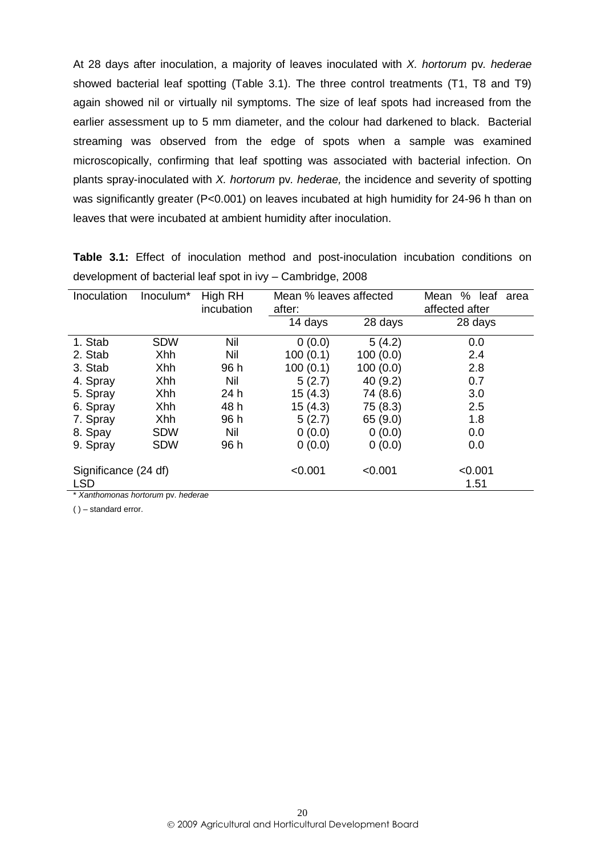At 28 days after inoculation, a majority of leaves inoculated with *X. hortorum* pv*. hederae* showed bacterial leaf spotting (Table 3.1). The three control treatments (T1, T8 and T9) again showed nil or virtually nil symptoms. The size of leaf spots had increased from the earlier assessment up to 5 mm diameter, and the colour had darkened to black. Bacterial streaming was observed from the edge of spots when a sample was examined microscopically, confirming that leaf spotting was associated with bacterial infection. On plants spray-inoculated with *X. hortorum* pv*. hederae,* the incidence and severity of spotting was significantly greater (P<0.001) on leaves incubated at high humidity for 24-96 h than on leaves that were incubated at ambient humidity after inoculation.

| Inoculation                                   | Inoculum*  | High RH    | Mean % leaves affected |          | % leaf<br>Mean  | area |
|-----------------------------------------------|------------|------------|------------------------|----------|-----------------|------|
|                                               |            | incubation | after:                 |          | affected after  |      |
|                                               |            |            | 14 days                | 28 days  | 28 days         |      |
| 1. Stab                                       | <b>SDW</b> | Nil        | 0(0.0)                 | 5(4.2)   | 0.0             |      |
| 2. Stab                                       | Xhh        | Nil        | 100(0.1)               | 100(0.0) | 2.4             |      |
| 3. Stab                                       | Xhh        | 96 h       | 100(0.1)               | 100(0.0) | 2.8             |      |
| 4. Spray                                      | Xhh        | Nil        | 5(2.7)                 | 40(9.2)  | 0.7             |      |
| 5. Spray                                      | Xhh        | 24 h       | 15(4.3)                | 74 (8.6) | 3.0             |      |
| 6. Spray                                      | Xhh        | 48 h       | 15(4.3)                | 75 (8.3) | 2.5             |      |
| 7. Spray                                      | Xhh        | 96 h       | 5(2.7)                 | 65 (9.0) | 1.8             |      |
| 8. Spay                                       | <b>SDW</b> | Nil        | 0(0.0)                 | 0(0.0)   | 0.0             |      |
| 9. Spray                                      | <b>SDW</b> | 96 h       | 0(0.0)                 | 0(0.0)   | 0.0             |      |
| Significance (24 df)<br><b>LSD</b><br>$+11.1$ |            |            | < 0.001                | < 0.001  | < 0.001<br>1.51 |      |

**Table 3.1:** Effect of inoculation method and post-inoculation incubation conditions on development of bacterial leaf spot in ivy – Cambridge, 2008

\* *Xanthomonas hortorum* pv. *hederae*

( ) – standard error.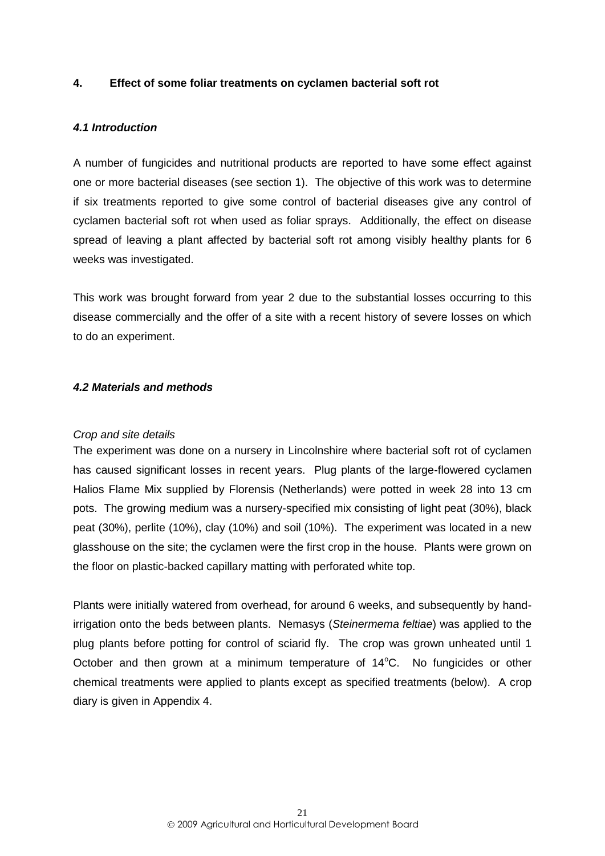# <span id="page-24-0"></span>**4. Effect of some foliar treatments on cyclamen bacterial soft rot**

#### <span id="page-24-1"></span>*4.1 Introduction*

A number of fungicides and nutritional products are reported to have some effect against one or more bacterial diseases (see section 1). The objective of this work was to determine if six treatments reported to give some control of bacterial diseases give any control of cyclamen bacterial soft rot when used as foliar sprays. Additionally, the effect on disease spread of leaving a plant affected by bacterial soft rot among visibly healthy plants for 6 weeks was investigated.

This work was brought forward from year 2 due to the substantial losses occurring to this disease commercially and the offer of a site with a recent history of severe losses on which to do an experiment.

#### <span id="page-24-2"></span>*4.2 Materials and methods*

#### *Crop and site details*

The experiment was done on a nursery in Lincolnshire where bacterial soft rot of cyclamen has caused significant losses in recent years. Plug plants of the large-flowered cyclamen Halios Flame Mix supplied by Florensis (Netherlands) were potted in week 28 into 13 cm pots. The growing medium was a nursery-specified mix consisting of light peat (30%), black peat (30%), perlite (10%), clay (10%) and soil (10%). The experiment was located in a new glasshouse on the site; the cyclamen were the first crop in the house. Plants were grown on the floor on plastic-backed capillary matting with perforated white top.

Plants were initially watered from overhead, for around 6 weeks, and subsequently by handirrigation onto the beds between plants. Nemasys (*Steinermema feltiae*) was applied to the plug plants before potting for control of sciarid fly. The crop was grown unheated until 1 October and then grown at a minimum temperature of  $14^{\circ}$ C. No fungicides or other chemical treatments were applied to plants except as specified treatments (below). A crop diary is given in Appendix 4.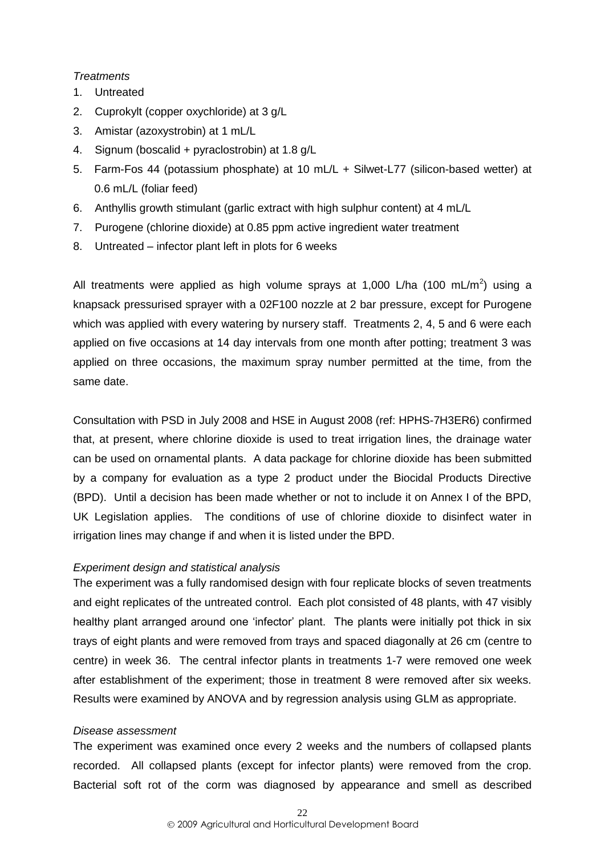#### *Treatments*

- 1. Untreated
- 2. Cuprokylt (copper oxychloride) at 3 g/L
- 3. Amistar (azoxystrobin) at 1 mL/L
- 4. Signum (boscalid + pyraclostrobin) at 1.8 g/L
- 5. Farm-Fos 44 (potassium phosphate) at 10 mL/L + Silwet-L77 (silicon-based wetter) at 0.6 mL/L (foliar feed)
- 6. Anthyllis growth stimulant (garlic extract with high sulphur content) at 4 mL/L
- 7. Purogene (chlorine dioxide) at 0.85 ppm active ingredient water treatment
- 8. Untreated infector plant left in plots for 6 weeks

All treatments were applied as high volume sprays at 1,000 L/ha (100 mL/m<sup>2</sup>) using a knapsack pressurised sprayer with a 02F100 nozzle at 2 bar pressure, except for Purogene which was applied with every watering by nursery staff. Treatments 2, 4, 5 and 6 were each applied on five occasions at 14 day intervals from one month after potting; treatment 3 was applied on three occasions, the maximum spray number permitted at the time, from the same date.

Consultation with PSD in July 2008 and HSE in August 2008 (ref: HPHS-7H3ER6) confirmed that, at present, where chlorine dioxide is used to treat irrigation lines, the drainage water can be used on ornamental plants. A data package for chlorine dioxide has been submitted by a company for evaluation as a type 2 product under the Biocidal Products Directive (BPD). Until a decision has been made whether or not to include it on Annex I of the BPD, UK Legislation applies. The conditions of use of chlorine dioxide to disinfect water in irrigation lines may change if and when it is listed under the BPD.

# *Experiment design and statistical analysis*

The experiment was a fully randomised design with four replicate blocks of seven treatments and eight replicates of the untreated control. Each plot consisted of 48 plants, with 47 visibly healthy plant arranged around one 'infector' plant. The plants were initially pot thick in six trays of eight plants and were removed from trays and spaced diagonally at 26 cm (centre to centre) in week 36. The central infector plants in treatments 1-7 were removed one week after establishment of the experiment; those in treatment 8 were removed after six weeks. Results were examined by ANOVA and by regression analysis using GLM as appropriate.

# *Disease assessment*

The experiment was examined once every 2 weeks and the numbers of collapsed plants recorded. All collapsed plants (except for infector plants) were removed from the crop. Bacterial soft rot of the corm was diagnosed by appearance and smell as described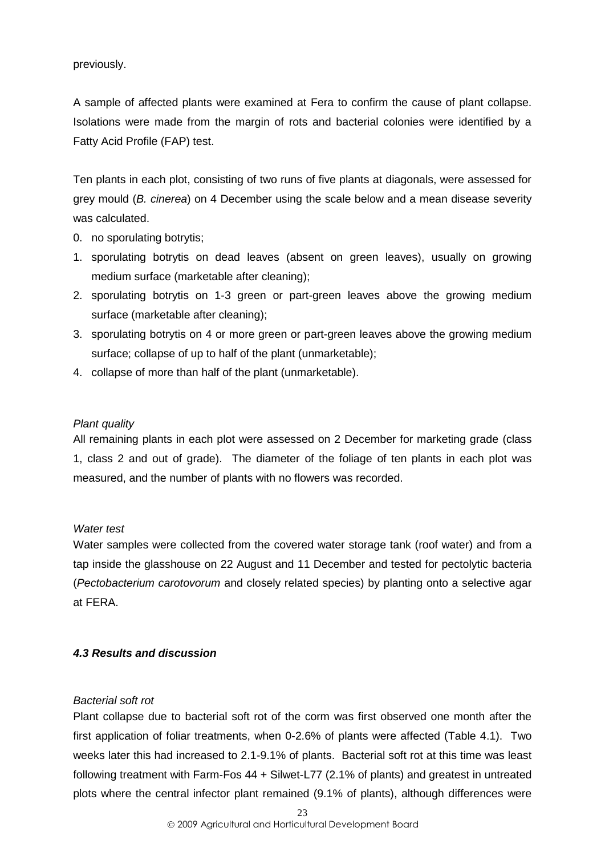previously.

A sample of affected plants were examined at Fera to confirm the cause of plant collapse. Isolations were made from the margin of rots and bacterial colonies were identified by a Fatty Acid Profile (FAP) test.

Ten plants in each plot, consisting of two runs of five plants at diagonals, were assessed for grey mould (*B. cinerea*) on 4 December using the scale below and a mean disease severity was calculated.

- 0. no sporulating botrytis;
- 1. sporulating botrytis on dead leaves (absent on green leaves), usually on growing medium surface (marketable after cleaning);
- 2. sporulating botrytis on 1-3 green or part-green leaves above the growing medium surface (marketable after cleaning);
- 3. sporulating botrytis on 4 or more green or part-green leaves above the growing medium surface; collapse of up to half of the plant (unmarketable);
- 4. collapse of more than half of the plant (unmarketable).

# *Plant quality*

All remaining plants in each plot were assessed on 2 December for marketing grade (class 1, class 2 and out of grade). The diameter of the foliage of ten plants in each plot was measured, and the number of plants with no flowers was recorded.

# *Water test*

Water samples were collected from the covered water storage tank (roof water) and from a tap inside the glasshouse on 22 August and 11 December and tested for pectolytic bacteria (*Pectobacterium carotovorum* and closely related species) by planting onto a selective agar at FERA.

# <span id="page-26-0"></span>*4.3 Results and discussion*

# *Bacterial soft rot*

Plant collapse due to bacterial soft rot of the corm was first observed one month after the first application of foliar treatments, when 0-2.6% of plants were affected (Table 4.1). Two weeks later this had increased to 2.1-9.1% of plants. Bacterial soft rot at this time was least following treatment with Farm-Fos 44 + Silwet-L77 (2.1% of plants) and greatest in untreated plots where the central infector plant remained (9.1% of plants), although differences were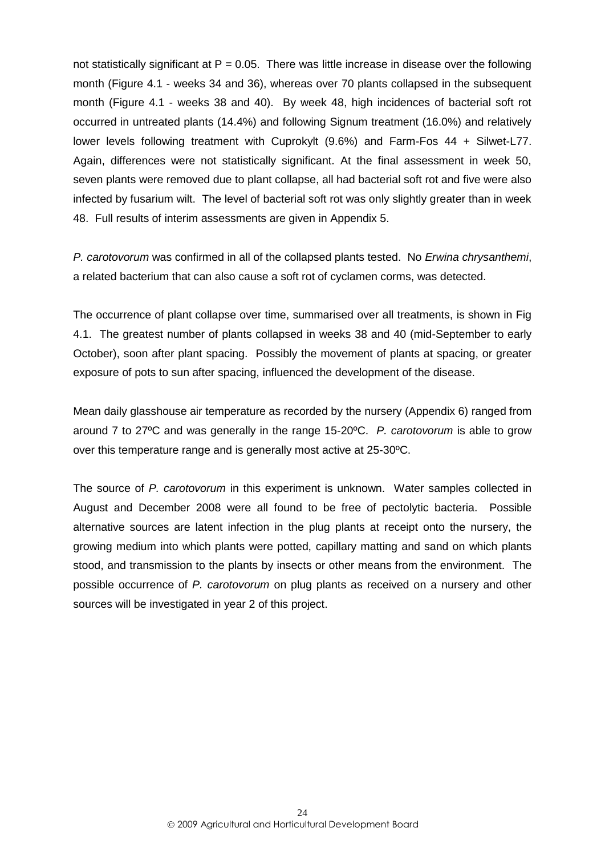not statistically significant at  $P = 0.05$ . There was little increase in disease over the following month (Figure 4.1 - weeks 34 and 36), whereas over 70 plants collapsed in the subsequent month (Figure 4.1 - weeks 38 and 40). By week 48, high incidences of bacterial soft rot occurred in untreated plants (14.4%) and following Signum treatment (16.0%) and relatively lower levels following treatment with Cuprokylt (9.6%) and Farm-Fos 44 + Silwet-L77. Again, differences were not statistically significant. At the final assessment in week 50, seven plants were removed due to plant collapse, all had bacterial soft rot and five were also infected by fusarium wilt. The level of bacterial soft rot was only slightly greater than in week 48. Full results of interim assessments are given in Appendix 5.

*P. carotovorum* was confirmed in all of the collapsed plants tested. No *Erwina chrysanthemi*, a related bacterium that can also cause a soft rot of cyclamen corms, was detected.

The occurrence of plant collapse over time, summarised over all treatments, is shown in Fig 4.1. The greatest number of plants collapsed in weeks 38 and 40 (mid-September to early October), soon after plant spacing. Possibly the movement of plants at spacing, or greater exposure of pots to sun after spacing, influenced the development of the disease.

Mean daily glasshouse air temperature as recorded by the nursery (Appendix 6) ranged from around 7 to 27ºC and was generally in the range 15-20ºC. *P. carotovorum* is able to grow over this temperature range and is generally most active at 25-30ºC.

The source of *P. carotovorum* in this experiment is unknown. Water samples collected in August and December 2008 were all found to be free of pectolytic bacteria. Possible alternative sources are latent infection in the plug plants at receipt onto the nursery, the growing medium into which plants were potted, capillary matting and sand on which plants stood, and transmission to the plants by insects or other means from the environment. The possible occurrence of *P. carotovorum* on plug plants as received on a nursery and other sources will be investigated in year 2 of this project.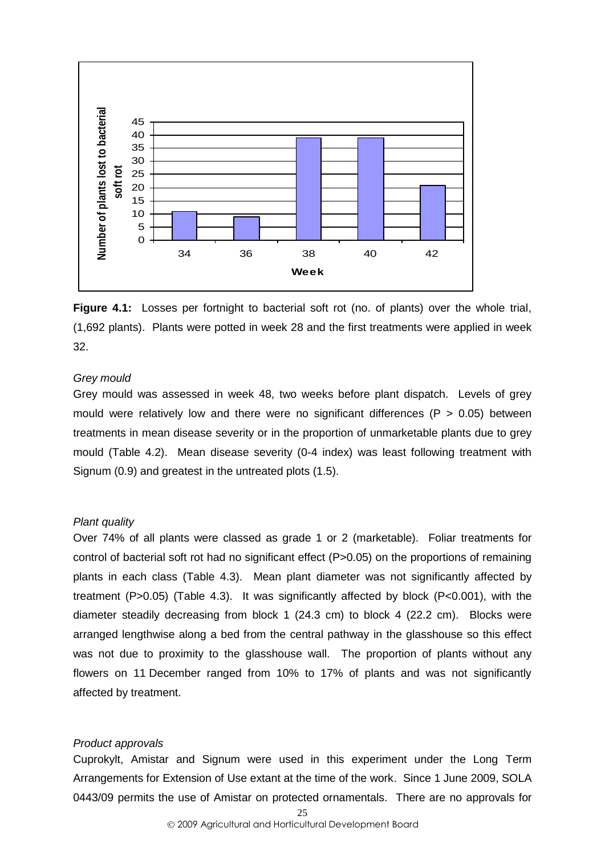

**Figure 4.1:** Losses per fortnight to bacterial soft rot (no. of plants) over the whole trial, (1,692 plants). Plants were potted in week 28 and the first treatments were applied in week 32.

#### *Grey mould*

Grey mould was assessed in week 48, two weeks before plant dispatch. Levels of grey mould were relatively low and there were no significant differences ( $P > 0.05$ ) between treatments in mean disease severity or in the proportion of unmarketable plants due to grey mould (Table 4.2). Mean disease severity (0-4 index) was least following treatment with Signum (0.9) and greatest in the untreated plots (1.5).

#### *Plant quality*

Over 74% of all plants were classed as grade 1 or 2 (marketable). Foliar treatments for control of bacterial soft rot had no significant effect (P>0.05) on the proportions of remaining plants in each class (Table 4.3). Mean plant diameter was not significantly affected by treatment (P>0.05) (Table 4.3). It was significantly affected by block (P<0.001), with the diameter steadily decreasing from block 1 (24.3 cm) to block 4 (22.2 cm). Blocks were arranged lengthwise along a bed from the central pathway in the glasshouse so this effect was not due to proximity to the glasshouse wall. The proportion of plants without any flowers on 11 December ranged from 10% to 17% of plants and was not significantly affected by treatment.

#### *Product approvals*

Cuprokylt, Amistar and Signum were used in this experiment under the Long Term Arrangements for Extension of Use extant at the time of the work. Since 1 June 2009, SOLA 0443/09 permits the use of Amistar on protected ornamentals. There are no approvals for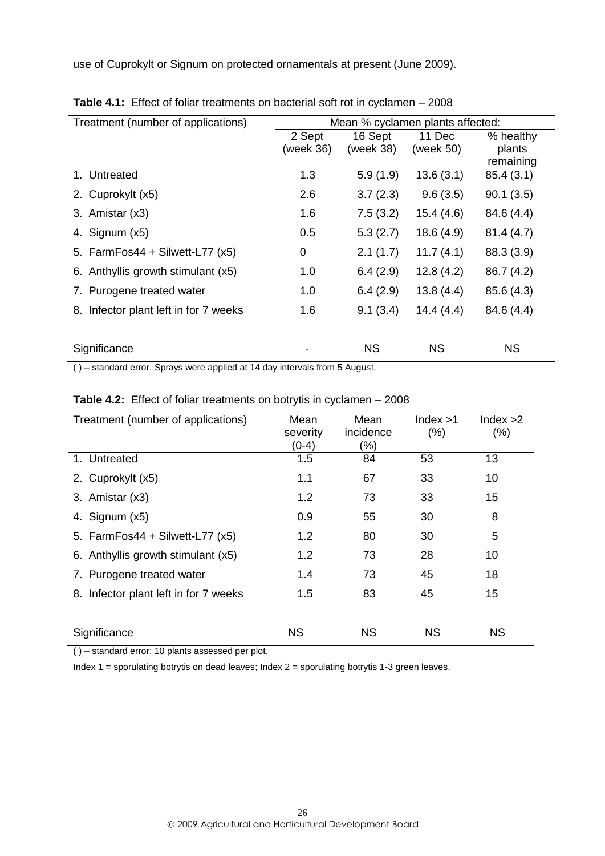use of Cuprokylt or Signum on protected ornamentals at present (June 2009).

| Treatment (number of applications)<br>Mean % cyclamen plants affected: |                     |                      |                     |                                  |
|------------------------------------------------------------------------|---------------------|----------------------|---------------------|----------------------------------|
|                                                                        | 2 Sept<br>(week 36) | 16 Sept<br>(week 38) | 11 Dec<br>(week 50) | % healthy<br>plants<br>remaining |
| 1. Untreated                                                           | 1.3                 | 5.9(1.9)             | 13.6(3.1)           | 85.4(3.1)                        |
| 2. Cuprokylt (x5)                                                      | 2.6                 | 3.7(2.3)             | 9.6(3.5)            | 90.1(3.5)                        |
| 3. Amistar (x3)                                                        | 1.6                 | 7.5(3.2)             | 15.4(4.6)           | 84.6 (4.4)                       |
| 4. Signum (x5)                                                         | 0.5                 | 5.3(2.7)             | 18.6(4.9)           | 81.4(4.7)                        |
| 5. FarmFos44 + Silwett-L77 $(x5)$                                      | 0                   | 2.1(1.7)             | 11.7(4.1)           | 88.3 (3.9)                       |
| 6. Anthyllis growth stimulant (x5)                                     | 1.0                 | 6.4(2.9)             | 12.8(4.2)           | 86.7 (4.2)                       |
| 7. Purogene treated water                                              | 1.0                 | 6.4(2.9)             | 13.8(4.4)           | 85.6 (4.3)                       |
| 8. Infector plant left in for 7 weeks                                  | 1.6                 | 9.1(3.4)             | 14.4(4.4)           | 84.6 (4.4)                       |
|                                                                        |                     |                      |                     |                                  |
| Significance                                                           |                     | <b>NS</b>            | <b>NS</b>           | <b>NS</b>                        |

**Table 4.1:** Effect of foliar treatments on bacterial soft rot in cyclamen – 2008

( ) – standard error. Sprays were applied at 14 day intervals from 5 August.

| Treatment (number of applications)    | Mean              | Mean<br>incidence | Index > 1 | Index >2  |
|---------------------------------------|-------------------|-------------------|-----------|-----------|
|                                       | severity<br>(0-4) | (%)               | (% )      | (%)       |
| 1. Untreated                          | 1.5               | 84                | 53        | 13        |
| 2. Cuprokylt (x5)                     | 1.1               | 67                | 33        | 10        |
| 3. Amistar (x3)                       | 1.2               | 73                | 33        | 15        |
| 4. Signum (x5)                        | 0.9               | 55                | 30        | 8         |
| 5. FarmFos44 + Silwett-L77 $(x5)$     | 1.2               | 80                | 30        | 5         |
| 6. Anthyllis growth stimulant (x5)    | 1.2               | 73                | 28        | 10        |
| 7. Purogene treated water             | 1.4               | 73                | 45        | 18        |
| 8. Infector plant left in for 7 weeks | 1.5               | 83                | 45        | 15        |
|                                       |                   |                   |           |           |
| Significance                          | <b>NS</b>         | <b>NS</b>         | <b>NS</b> | <b>NS</b> |

# **Table 4.2:** Effect of foliar treatments on botrytis in cyclamen – 2008

( ) – standard error; 10 plants assessed per plot.

Index 1 = sporulating botrytis on dead leaves; Index 2 = sporulating botrytis 1-3 green leaves.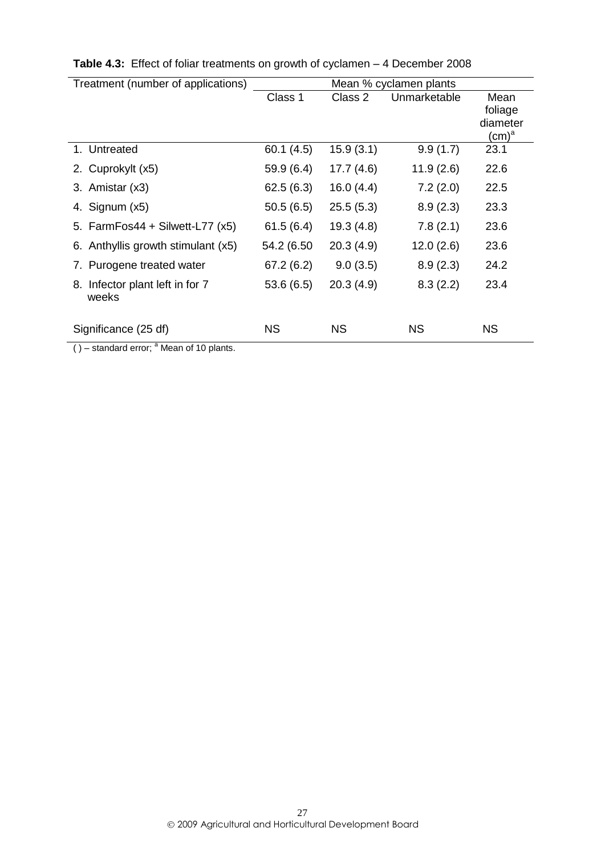| Treatment (number of applications) |            | Mean % cyclamen plants |              |                   |  |
|------------------------------------|------------|------------------------|--------------|-------------------|--|
|                                    | Class 1    | Class 2                | Unmarketable | Mean              |  |
|                                    |            |                        |              | foliage           |  |
|                                    |            |                        |              | diameter          |  |
|                                    |            |                        |              | (cm) <sup>a</sup> |  |
| 1. Untreated                       | 60.1(4.5)  | 15.9(3.1)              | 9.9(1.7)     | 23.1              |  |
| 2. Cuprokylt (x5)                  | 59.9(6.4)  | 17.7(4.6)              | 11.9(2.6)    | 22.6              |  |
| 3. Amistar (x3)                    | 62.5(6.3)  | 16.0(4.4)              | 7.2(2.0)     | 22.5              |  |
| 4. Signum (x5)                     | 50.5(6.5)  | 25.5(5.3)              | 8.9(2.3)     | 23.3              |  |
| 5. FarmFos44 + Silwett-L77 (x5)    | 61.5(6.4)  | 19.3(4.8)              | 7.8(2.1)     | 23.6              |  |
| 6. Anthyllis growth stimulant (x5) | 54.2 (6.50 | 20.3(4.9)              | 12.0(2.6)    | 23.6              |  |
| 7. Purogene treated water          | 67.2(6.2)  | 9.0(3.5)               | 8.9(2.3)     | 24.2              |  |
| 8. Infector plant left in for 7    | 53.6(6.5)  | 20.3(4.9)              | 8.3(2.2)     | 23.4              |  |
| weeks                              |            |                        |              |                   |  |
| Significance (25 df)               | <b>NS</b>  | <b>NS</b>              | <b>NS</b>    | <b>NS</b>         |  |
| ິ. -                               |            |                        |              |                   |  |

| Table 4.3: Effect of foliar treatments on growth of cyclamen - 4 December 2008 |
|--------------------------------------------------------------------------------|
|--------------------------------------------------------------------------------|

 $( ) -$  standard error;  $a$  Mean of 10 plants.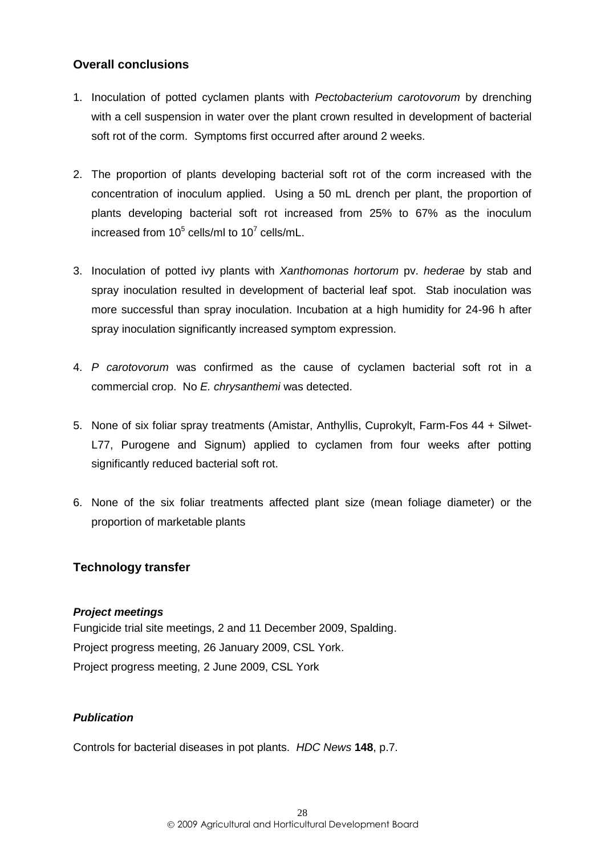# <span id="page-31-0"></span>**Overall conclusions**

- 1. Inoculation of potted cyclamen plants with *Pectobacterium carotovorum* by drenching with a cell suspension in water over the plant crown resulted in development of bacterial soft rot of the corm. Symptoms first occurred after around 2 weeks.
- 2. The proportion of plants developing bacterial soft rot of the corm increased with the concentration of inoculum applied. Using a 50 mL drench per plant, the proportion of plants developing bacterial soft rot increased from 25% to 67% as the inoculum increased from  $10^5$  cells/ml to  $10^7$  cells/mL.
- 3. Inoculation of potted ivy plants with *Xanthomonas hortorum* pv. *hederae* by stab and spray inoculation resulted in development of bacterial leaf spot. Stab inoculation was more successful than spray inoculation. Incubation at a high humidity for 24-96 h after spray inoculation significantly increased symptom expression.
- 4. *P carotovorum* was confirmed as the cause of cyclamen bacterial soft rot in a commercial crop. No *E. chrysanthemi* was detected.
- 5. None of six foliar spray treatments (Amistar, Anthyllis, Cuprokylt, Farm-Fos 44 + Silwet-L77, Purogene and Signum) applied to cyclamen from four weeks after potting significantly reduced bacterial soft rot.
- 6. None of the six foliar treatments affected plant size (mean foliage diameter) or the proportion of marketable plants

# <span id="page-31-1"></span>**Technology transfer**

# <span id="page-31-2"></span>*Project meetings*

Fungicide trial site meetings, 2 and 11 December 2009, Spalding. Project progress meeting, 26 January 2009, CSL York. Project progress meeting, 2 June 2009, CSL York

# <span id="page-31-3"></span>*Publication*

Controls for bacterial diseases in pot plants. *HDC News* **148**, p.7.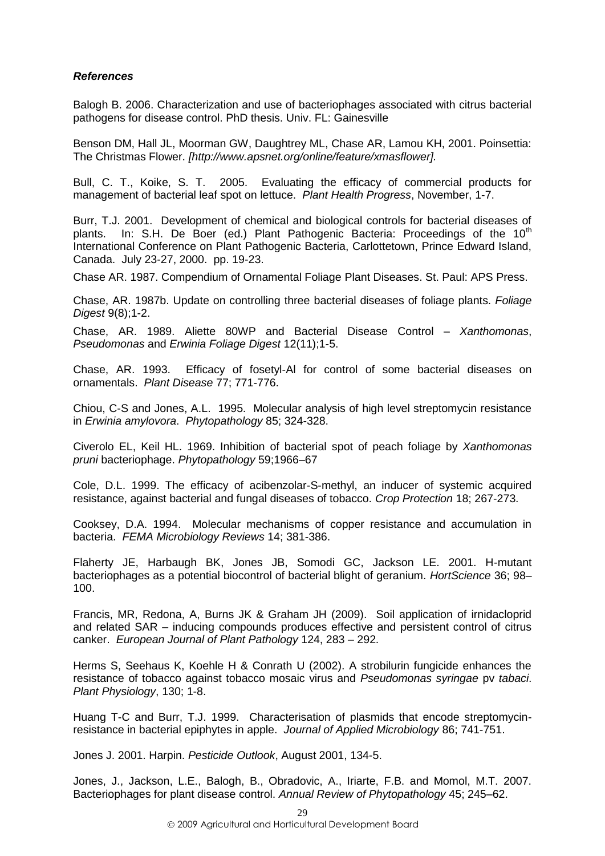# <span id="page-32-0"></span>*References*

Balogh B. 2006. Characterization and use of bacteriophages associated with citrus bacterial pathogens for disease control. PhD thesis. Univ. FL: Gainesville

Benson DM, Hall JL, Moorman GW, Daughtrey ML, Chase AR, Lamou KH, 2001. Poinsettia: The Christmas Flower. *[http://www.apsnet.org/online/feature/xmasflower].* 

Bull, C. T., Koike, S. T. 2005. Evaluating the efficacy of commercial products for management of bacterial leaf spot on lettuce. *Plant Health Progress*, November, 1-7.

Burr, T.J. 2001. Development of chemical and biological controls for bacterial diseases of plants. In: S.H. De Boer (ed.) Plant Pathogenic Bacteria: Proceedings of the  $10<sup>th</sup>$ International Conference on Plant Pathogenic Bacteria, Carlottetown, Prince Edward Island, Canada. July 23-27, 2000. pp. 19-23.

Chase AR. 1987. Compendium of Ornamental Foliage Plant Diseases. St. Paul: APS Press.

Chase, AR. 1987b. Update on controlling three bacterial diseases of foliage plants. *Foliage Digest* 9(8);1-2.

Chase, AR. 1989. Aliette 80WP and Bacterial Disease Control – *Xanthomonas*, *Pseudomonas* and *Erwinia Foliage Digest* 12(11);1-5.

Chase, AR. 1993. Efficacy of fosetyl-Al for control of some bacterial diseases on ornamentals. *Plant Disease* 77; 771-776.

Chiou, C-S and Jones, A.L. 1995. Molecular analysis of high level streptomycin resistance in *Erwinia amylovora*. *Phytopathology* 85; 324-328.

Civerolo EL, Keil HL. 1969. Inhibition of bacterial spot of peach foliage by *Xanthomonas pruni* bacteriophage. *Phytopathology* 59;1966–67

Cole, D.L. 1999. The efficacy of acibenzolar-S-methyl, an inducer of systemic acquired resistance, against bacterial and fungal diseases of tobacco. *Crop Protection* 18; 267-273.

Cooksey, D.A. 1994. Molecular mechanisms of copper resistance and accumulation in bacteria. *FEMA Microbiology Reviews* 14; 381-386.

Flaherty JE, Harbaugh BK, Jones JB, Somodi GC, Jackson LE. 2001. H-mutant bacteriophages as a potential biocontrol of bacterial blight of geranium. *HortScience* 36; 98– 100.

Francis, MR, Redona, A, Burns JK & Graham JH (2009). Soil application of irnidacloprid and related SAR – inducing compounds produces effective and persistent control of citrus canker. *European Journal of Plant Pathology* 124, 283 – 292.

Herms S, Seehaus K, Koehle H & Conrath U (2002). A strobilurin fungicide enhances the resistance of tobacco against tobacco mosaic virus and *Pseudomonas syringae* pv *tabaci*. *Plant Physiology*, 130; 1-8.

Huang T-C and Burr, T.J. 1999. Characterisation of plasmids that encode streptomycinresistance in bacterial epiphytes in apple. *Journal of Applied Microbiology* 86; 741-751.

Jones J. 2001. Harpin. *Pesticide Outlook*, August 2001, 134-5.

Jones, J., Jackson, L.E., Balogh, B., Obradovic, A., Iriarte, F.B. and Momol, M.T. 2007. Bacteriophages for plant disease control. *Annual Review of Phytopathology* 45; 245–62.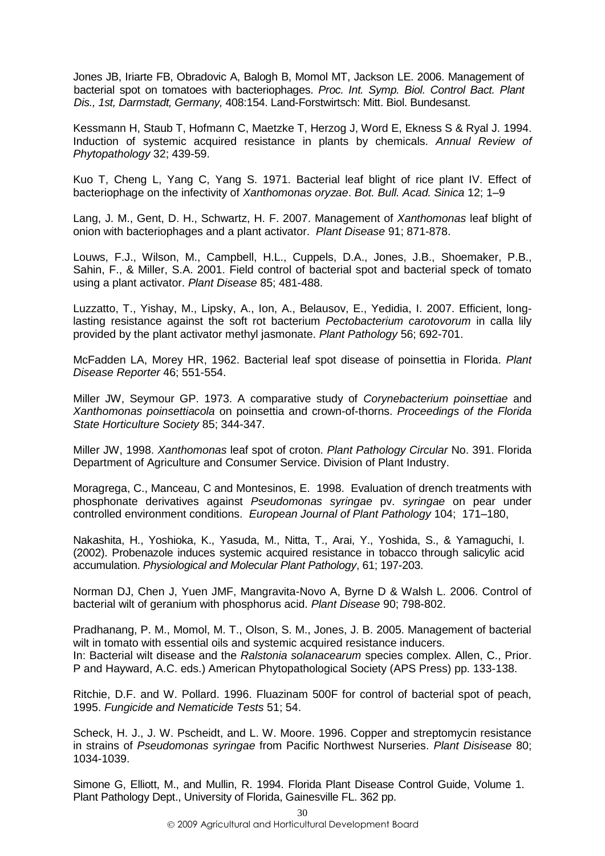Jones JB, Iriarte FB, Obradovic A, Balogh B, Momol MT, Jackson LE. 2006. Management of bacterial spot on tomatoes with bacteriophages. *Proc. Int. Symp. Biol. Control Bact. Plant Dis., 1st, Darmstadt, Germany,* 408:154. Land-Forstwirtsch: Mitt. Biol. Bundesanst.

Kessmann H, Staub T, Hofmann C, Maetzke T, Herzog J, Word E, Ekness S & Ryal J. 1994. Induction of systemic acquired resistance in plants by chemicals. *Annual Review of Phytopathology* 32; 439-59.

Kuo T, Cheng L, Yang C, Yang S. 1971. Bacterial leaf blight of rice plant IV. Effect of bacteriophage on the infectivity of *Xanthomonas oryzae*. *Bot. Bull. Acad. Sinica* 12; 1–9

Lang, J. M., Gent, D. H., Schwartz, H. F. 2007. Management of *Xanthomonas* leaf blight of onion with bacteriophages and a plant activator. *Plant Disease* 91; 871-878.

Louws, F.J., Wilson, M., Campbell, H.L., Cuppels, D.A., Jones, J.B., Shoemaker, P.B., Sahin, F., & Miller, S.A. 2001. Field control of bacterial spot and bacterial speck of tomato using a plant activator. *Plant Disease* 85; 481-488.

Luzzatto, T., Yishay, M., Lipsky, A., Ion, A., Belausov, E., Yedidia, I. 2007. Efficient, longlasting resistance against the soft rot bacterium *Pectobacterium carotovorum* in calla lily provided by the plant activator methyl jasmonate. *Plant Pathology* 56; 692-701.

McFadden LA, Morey HR, 1962. Bacterial leaf spot disease of poinsettia in Florida. *Plant Disease Reporter* 46; 551-554.

Miller JW, Seymour GP. 1973. A comparative study of *Corynebacterium poinsettiae* and *Xanthomonas poinsettiacola* on poinsettia and crown-of-thorns. *Proceedings of the Florida State Horticulture Society* 85; 344-347.

Miller JW, 1998. *Xanthomonas* leaf spot of croton. *Plant Pathology Circular* No. 391. Florida Department of Agriculture and Consumer Service. Division of Plant Industry.

Moragrega, C., Manceau, C and Montesinos, E. 1998. Evaluation of drench treatments with phosphonate derivatives against *Pseudomonas syringae* pv. *syringae* on pear under controlled environment conditions. *European Journal of Plant Pathology* 104; 171–180,

Nakashita, H., Yoshioka, K., Yasuda, M., Nitta, T., Arai, Y., Yoshida, S., & Yamaguchi, I. (2002). Probenazole induces systemic acquired resistance in tobacco through salicylic acid accumulation. *Physiological and Molecular Plant Pathology*, 61; 197-203.

Norman DJ, Chen J, Yuen JMF, Mangravita-Novo A, Byrne D & Walsh L. 2006. Control of bacterial wilt of geranium with phosphorus acid. *Plant Disease* 90; 798-802.

Pradhanang, P. M., Momol, M. T., Olson, S. M., Jones, J. B. 2005. Management of bacterial wilt in tomato with essential oils and systemic acquired resistance inducers. In: Bacterial wilt disease and the *Ralstonia solanacearum* species complex. Allen, C., Prior. P and Hayward, A.C. eds.) American Phytopathological Society (APS Press) pp. 133-138.

Ritchie, D.F. and W. Pollard. 1996. Fluazinam 500F for control of bacterial spot of peach, 1995. *Fungicide and Nematicide Tests* 51; 54.

Scheck, H. J., J. W. Pscheidt, and L. W. Moore. 1996. Copper and streptomycin resistance in strains of *Pseudomonas syringae* from Pacific Northwest Nurseries. *Plant Disisease* 80; 1034-1039.

Simone G, Elliott, M., and Mullin, R. 1994. Florida Plant Disease Control Guide, Volume 1. Plant Pathology Dept., University of Florida, Gainesville FL. 362 pp.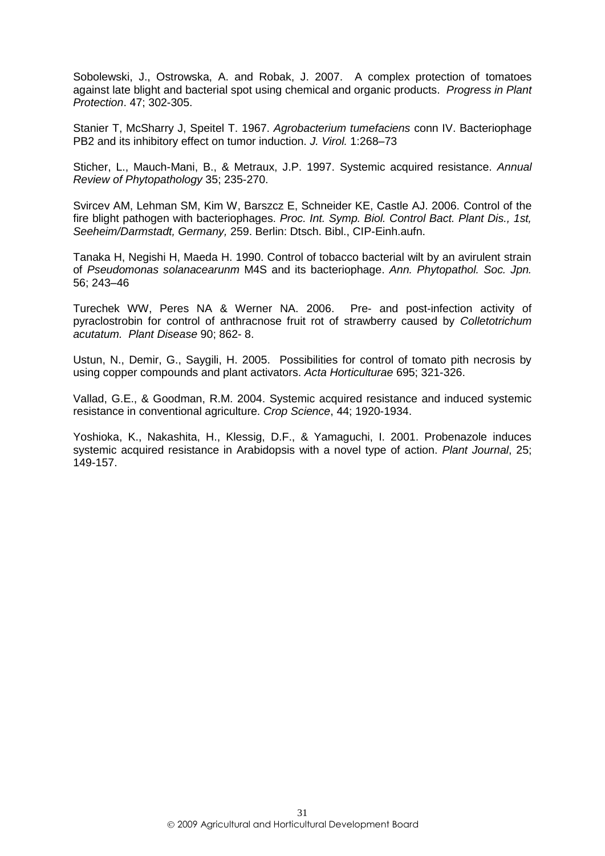Sobolewski, J., Ostrowska, A. and Robak, J. 2007. A complex protection of tomatoes against late blight and bacterial spot using chemical and organic products. *Progress in Plant Protection*. 47; 302-305.

Stanier T, McSharry J, Speitel T. 1967. *Agrobacterium tumefaciens* conn IV. Bacteriophage PB2 and its inhibitory effect on tumor induction. *J. Virol.* 1:268–73

Sticher, L., Mauch-Mani, B., & Metraux, J.P. 1997. Systemic acquired resistance. *Annual Review of Phytopathology* 35; 235-270.

Svircev AM, Lehman SM, Kim W, Barszcz E, Schneider KE, Castle AJ. 2006. Control of the fire blight pathogen with bacteriophages. *Proc. Int. Symp. Biol. Control Bact. Plant Dis., 1st, Seeheim/Darmstadt, Germany,* 259. Berlin: Dtsch. Bibl., CIP-Einh.aufn.

Tanaka H, Negishi H, Maeda H. 1990. Control of tobacco bacterial wilt by an avirulent strain of *Pseudomonas solanacearunm* M4S and its bacteriophage. *Ann. Phytopathol. Soc. Jpn.*  56; 243–46

Turechek WW, Peres NA & Werner NA. 2006. Pre- and post-infection activity of pyraclostrobin for control of anthracnose fruit rot of strawberry caused by *Colletotrichum acutatum. Plant Disease* 90; 862- 8.

Ustun, N., Demir, G., Saygili, H. 2005. Possibilities for control of tomato pith necrosis by using copper compounds and plant activators. *Acta Horticulturae* 695; 321-326.

Vallad, G.E., & Goodman, R.M. 2004. Systemic acquired resistance and induced systemic resistance in conventional agriculture. *Crop Science*, 44; 1920-1934.

Yoshioka, K., Nakashita, H., Klessig, D.F., & Yamaguchi, I. 2001. Probenazole induces systemic acquired resistance in Arabidopsis with a novel type of action. *Plant Journal*, 25; 149-157.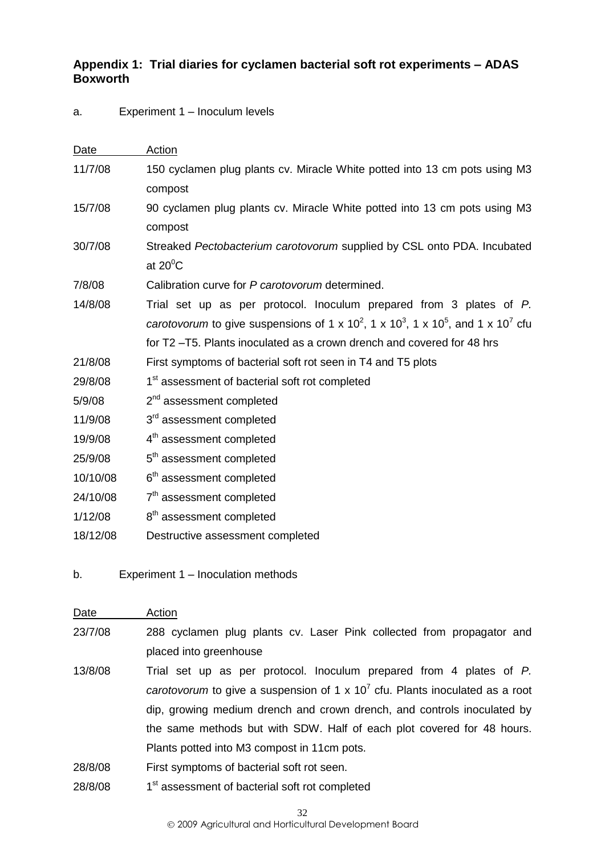# <span id="page-35-0"></span>**Appendix 1: Trial diaries for cyclamen bacterial soft rot experiments – ADAS Boxworth**

# a. Experiment 1 – Inoculum levels

| Date     | Action                                                                                                                           |
|----------|----------------------------------------------------------------------------------------------------------------------------------|
| 11/7/08  | 150 cyclamen plug plants cv. Miracle White potted into 13 cm pots using M3                                                       |
|          | compost                                                                                                                          |
| 15/7/08  | 90 cyclamen plug plants cv. Miracle White potted into 13 cm pots using M3                                                        |
|          | compost                                                                                                                          |
| 30/7/08  | Streaked Pectobacterium carotovorum supplied by CSL onto PDA. Incubated                                                          |
|          | at $20^{\circ}$ C                                                                                                                |
| 7/8/08   | Calibration curve for P carotovorum determined.                                                                                  |
| 14/8/08  | Trial set up as per protocol. Inoculum prepared from 3 plates of P.                                                              |
|          | carotovorum to give suspensions of 1 x 10 <sup>2</sup> , 1 x 10 <sup>3</sup> , 1 x 10 <sup>5</sup> , and 1 x 10 <sup>7</sup> cfu |
|          | for T2-T5. Plants inoculated as a crown drench and covered for 48 hrs                                                            |
| 21/8/08  | First symptoms of bacterial soft rot seen in T4 and T5 plots                                                                     |
| 29/8/08  | 1 <sup>st</sup> assessment of bacterial soft rot completed                                                                       |
| 5/9/08   | 2 <sup>nd</sup> assessment completed                                                                                             |
| 11/9/08  | 3 <sup>rd</sup> assessment completed                                                                                             |
| 19/9/08  | 4 <sup>th</sup> assessment completed                                                                                             |
| 25/9/08  | 5 <sup>th</sup> assessment completed                                                                                             |
| 10/10/08 | 6 <sup>th</sup> assessment completed                                                                                             |
| 24/10/08 | 7 <sup>th</sup> assessment completed                                                                                             |
| 1/12/08  | 8 <sup>th</sup> assessment completed                                                                                             |
| 18/12/08 | Destructive assessment completed                                                                                                 |

b. Experiment 1 – Inoculation methods

| Date    | Action                                                                                          |  |  |  |  |
|---------|-------------------------------------------------------------------------------------------------|--|--|--|--|
| 23/7/08 | 288 cyclamen plug plants cv. Laser Pink collected from propagator and                           |  |  |  |  |
|         | placed into greenhouse                                                                          |  |  |  |  |
| 13/8/08 | Trial set up as per protocol. Inoculum prepared from 4 plates of P.                             |  |  |  |  |
|         | <i>carotovorum</i> to give a suspension of 1 x 10 <sup>7</sup> cfu. Plants inoculated as a root |  |  |  |  |
|         | dip, growing medium drench and crown drench, and controls inoculated by                         |  |  |  |  |
|         | the same methods but with SDW. Half of each plot covered for 48 hours.                          |  |  |  |  |
|         | Plants potted into M3 compost in 11cm pots.                                                     |  |  |  |  |
| 28/8/08 | First symptoms of bacterial soft rot seen.                                                      |  |  |  |  |
|         |                                                                                                 |  |  |  |  |

28/8/08 1 1<sup>st</sup> assessment of bacterial soft rot completed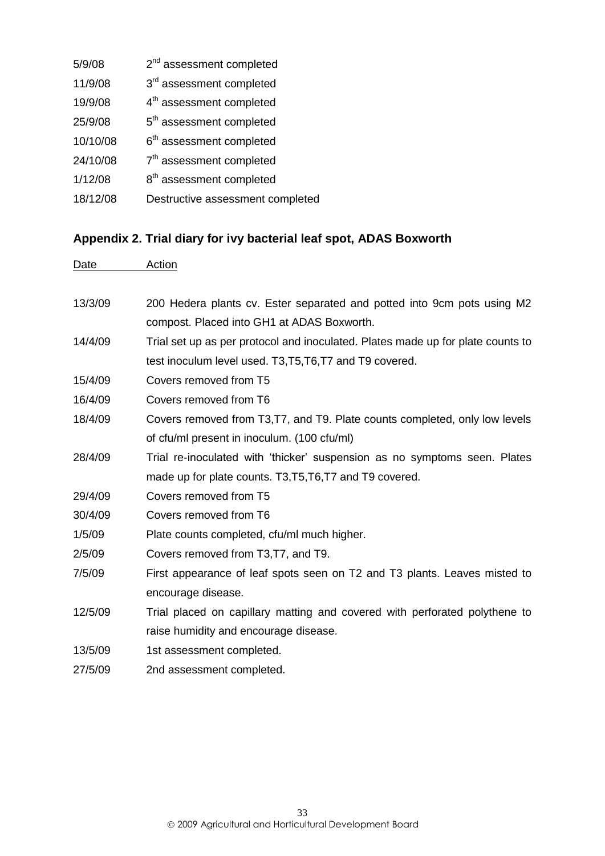| 5/9/08   | 2 <sup>nd</sup> assessment completed |
|----------|--------------------------------------|
| 11/9/08  | 3rd assessment completed             |
| 19/9/08  | 4 <sup>th</sup> assessment completed |
| 25/9/08  | 5 <sup>th</sup> assessment completed |
| 10/10/08 | 6 <sup>th</sup> assessment completed |
| 24/10/08 | 7 <sup>th</sup> assessment completed |
| 1/12/08  | 8 <sup>th</sup> assessment completed |
| 18/12/08 | Destructive assessment completed     |

# <span id="page-36-0"></span>**Appendix 2. Trial diary for ivy bacterial leaf spot, ADAS Boxworth**

| Date    | <b>Action</b>                                                                   |
|---------|---------------------------------------------------------------------------------|
|         |                                                                                 |
| 13/3/09 | 200 Hedera plants cv. Ester separated and potted into 9cm pots using M2         |
|         | compost. Placed into GH1 at ADAS Boxworth.                                      |
| 14/4/09 | Trial set up as per protocol and inoculated. Plates made up for plate counts to |
|         | test inoculum level used. T3, T5, T6, T7 and T9 covered.                        |
| 15/4/09 | Covers removed from T5                                                          |
| 16/4/09 | Covers removed from T6                                                          |
| 18/4/09 | Covers removed from T3, T7, and T9. Plate counts completed, only low levels     |
|         | of cfu/ml present in inoculum. (100 cfu/ml)                                     |
| 28/4/09 | Trial re-inoculated with 'thicker' suspension as no symptoms seen. Plates       |
|         | made up for plate counts. T3, T5, T6, T7 and T9 covered.                        |
| 29/4/09 | Covers removed from T5                                                          |
| 30/4/09 | Covers removed from T6                                                          |
| 1/5/09  | Plate counts completed, cfu/ml much higher.                                     |
| 2/5/09  | Covers removed from T3, T7, and T9.                                             |
| 7/5/09  | First appearance of leaf spots seen on T2 and T3 plants. Leaves misted to       |
|         | encourage disease.                                                              |
| 12/5/09 | Trial placed on capillary matting and covered with perforated polythene to      |
|         | raise humidity and encourage disease.                                           |
| 13/5/09 | 1st assessment completed.                                                       |
| 27/5/09 | 2nd assessment completed.                                                       |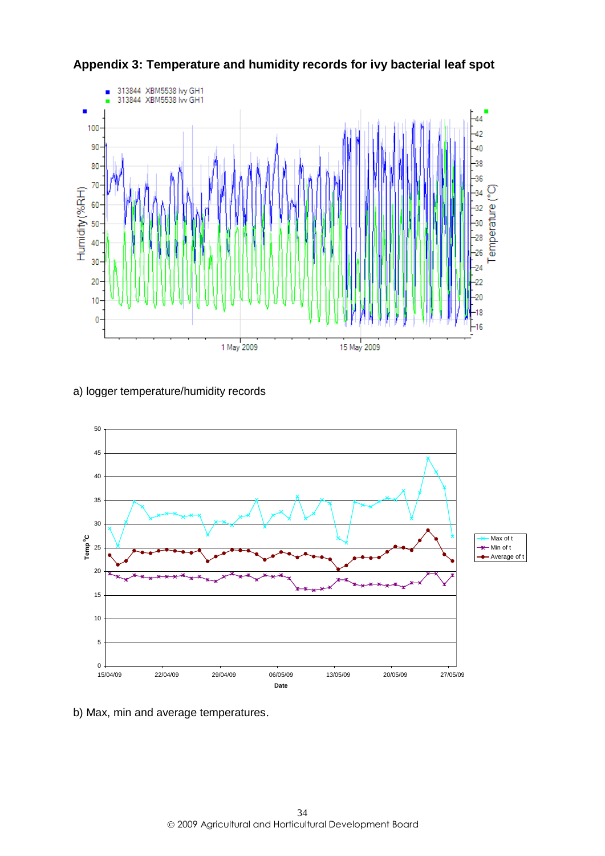

<span id="page-37-0"></span>**Appendix 3: Temperature and humidity records for ivy bacterial leaf spot**

a) logger temperature/humidity records



b) Max, min and average temperatures.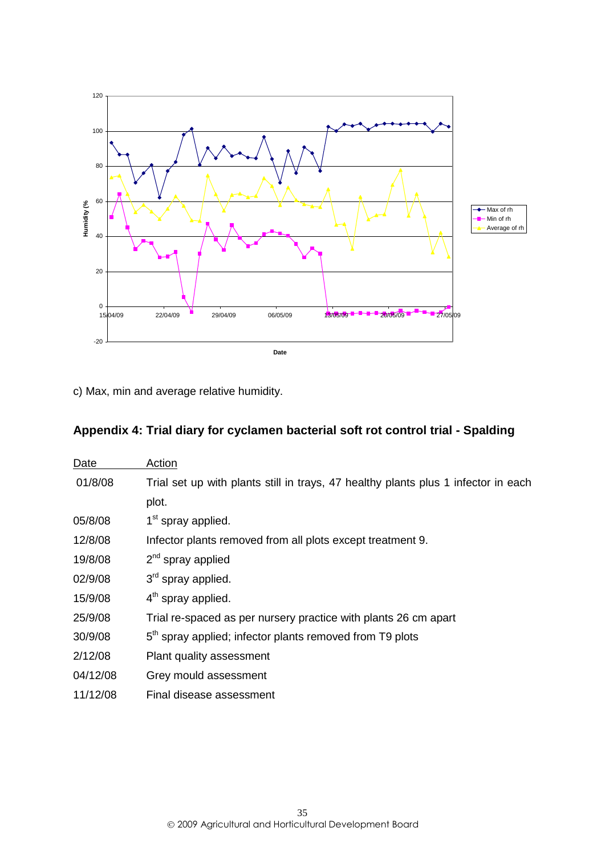

c) Max, min and average relative humidity.

# <span id="page-38-0"></span>**Appendix 4: Trial diary for cyclamen bacterial soft rot control trial - Spalding**

| Date     | Action                                                                             |
|----------|------------------------------------------------------------------------------------|
| 01/8/08  | Trial set up with plants still in trays, 47 healthy plants plus 1 infector in each |
|          | plot.                                                                              |
| 05/8/08  | 1 <sup>st</sup> spray applied.                                                     |
| 12/8/08  | Infector plants removed from all plots except treatment 9.                         |
| 19/8/08  | $2nd$ spray applied                                                                |
| 02/9/08  | 3 <sup>rd</sup> spray applied.                                                     |
| 15/9/08  | $4th$ spray applied.                                                               |
| 25/9/08  | Trial re-spaced as per nursery practice with plants 26 cm apart                    |
| 30/9/08  | 5 <sup>th</sup> spray applied; infector plants removed from T9 plots               |
| 2/12/08  | Plant quality assessment                                                           |
| 04/12/08 | Grey mould assessment                                                              |
| 11/12/08 | Final disease assessment                                                           |
|          |                                                                                    |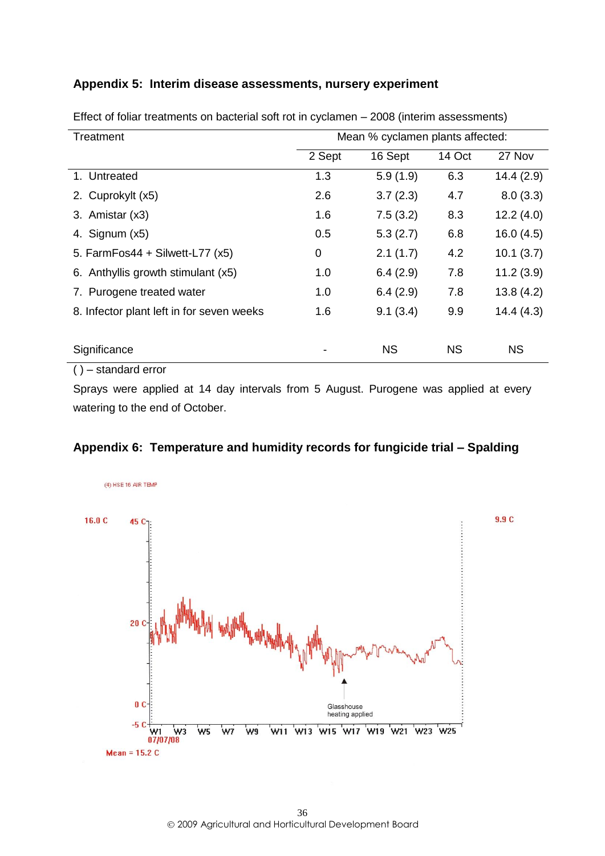# <span id="page-39-0"></span>**Appendix 5: Interim disease assessments, nursery experiment**

| Mean % cyclamen plants affected:<br>Treatment |        |           |           |           |
|-----------------------------------------------|--------|-----------|-----------|-----------|
|                                               | 2 Sept | 16 Sept   | 14 Oct    | 27 Nov    |
| 1. Untreated                                  | 1.3    | 5.9(1.9)  | 6.3       | 14.4(2.9) |
| 2. Cuprokylt (x5)                             | 2.6    | 3.7(2.3)  | 4.7       | 8.0(3.3)  |
| 3. Amistar (x3)                               | 1.6    | 7.5(3.2)  | 8.3       | 12.2(4.0) |
| 4. Signum $(x5)$                              | 0.5    | 5.3(2.7)  | 6.8       | 16.0(4.5) |
| 5. FarmFos44 + Silwett-L77 $(x5)$             | 0      | 2.1(1.7)  | 4.2       | 10.1(3.7) |
| 6. Anthyllis growth stimulant (x5)            | 1.0    | 6.4(2.9)  | 7.8       | 11.2(3.9) |
| 7. Purogene treated water                     | 1.0    | 6.4(2.9)  | 7.8       | 13.8(4.2) |
| 8. Infector plant left in for seven weeks     | 1.6    | 9.1(3.4)  | 9.9       | 14.4(4.3) |
| Significance                                  |        | <b>NS</b> | <b>NS</b> | <b>NS</b> |
| - standard error                              |        |           |           |           |

Effect of foliar treatments on bacterial soft rot in cyclamen – 2008 (interim assessments)

Sprays were applied at 14 day intervals from 5 August. Purogene was applied at every watering to the end of October.

# <span id="page-39-1"></span>**Appendix 6: Temperature and humidity records for fungicide trial – Spalding**